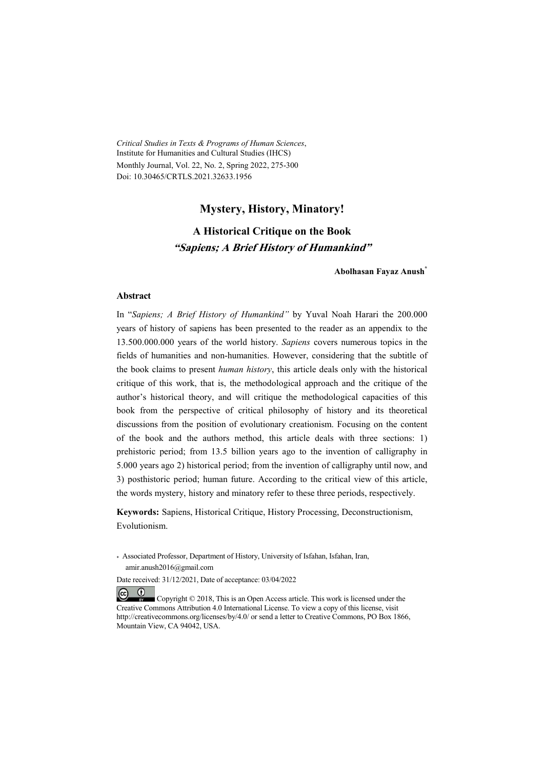*Critical Studies in Texts & Programs of Human Sciences*, Institute for Humanities and Cultural Studies (IHCS) Monthly Journal, Vol. 22, No. 2, Spring 2022, 275-300 Doi: 10.30465/CRTLS.2021.32633.1956

### **Mystery, History, Minatory!**

### **A Historical Critique on the Book "Sapiens; A Brief History of Humankind"**

**Abolhasan Fayaz Anush\***

#### **Abstract**

 $(1)$ 

In "*Sapiens; A Brief History of Humankind"* by Yuval Noah Harari the 200.000 years of history of sapiens has been presented to the reader as an appendix to the 13.500.000.000 years of the world history. *Sapiens* covers numerous topics in the fields of humanities and non-humanities. However, considering that the subtitle of the book claims to present *human history*, this article deals only with the historical critique of this work, that is, the methodological approach and the critique of the author's historical theory, and will critique the methodological capacities of this book from the perspective of critical philosophy of history and its theoretical discussions from the position of evolutionary creationism. Focusing on the content of the book and the authors method, this article deals with three sections: 1) prehistoric period; from 13.5 billion years ago to the invention of calligraphy in 5.000 years ago 2) historical period; from the invention of calligraphy until now, and 3) posthistoric period; human future. According to the critical view of this article, the words mystery, history and minatory refer to these three periods, respectively.

**Keywords:** Sapiens, Historical Critique, History Processing, Deconstructionism, Evolutionism.

\* Associated Professor, Department of History, University of Isfahan, Isfahan, Iran, amir.anush2016@gmail.com

Date received: 31/12/2021, Date of acceptance: 03/04/2022

 $(c)$  Copyright © 2018, This is an Open Access article. This work is licensed under the Creative Commons Attribution 4.0 International License. To view a copy of this license, visit http://creativecommons.org/licenses/by/4.0/ or send a letter to Creative Commons, PO Box 1866, Mountain View, CA 94042, USA.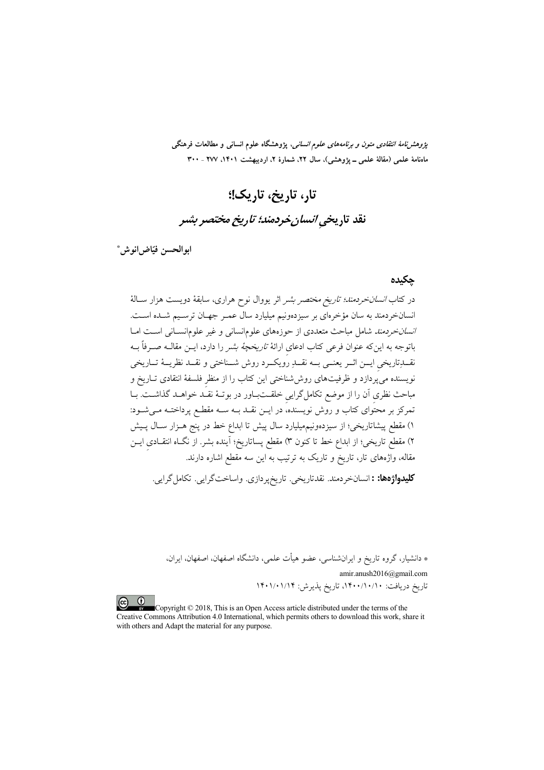*پژوهشنامهٔ انتقادی متون و برنامههای علوم انسانی،* پژوهشگاه علوم انسانی و مطالعات فرهنگی ماهنامهٔ علمی (مقالهٔ علمی ــ یژوهشی)، سال ۲۲، شمارهٔ ۲، اردیبهشت ۱۴۰۱، ۲۷۷ ـ ۳۰۰

تار، تاریخ، تاریک!؛ نقد تاریخی انسان خردمند؛ تاریخ مختصر بشیر

ابوالحسن فيّاض|نوش\*

#### حكىدە

در کتاب *انسان خردمند؛ تاریخ مختصر بشر* اثر یووال نوح هراری، سابقهٔ دویست هزار سـالهٔ انسانخردمند به سان مؤخرهای بر سیزدهونیم میلیارد سال عمـر جهـان ترسـیم شـده اسـت. ا*نسان خردمند* شامل مباحث متعددی از حوزههای علومانسانی و غیر علومانسانی است امـا باتوجه به اینکه عنوان فرعی کتاب ادعای ارائهٔ *تاریخچهٔ بشر* را دارد، ایــن مقالــه صــرفاً بــه نقـــلزتاريخي ايــن اثــر يعنــي بــه نقــلزِ رويكــرد روش شـــناختي و نقـــد نظريـــهٔ تــاريخي نویسنده می پُردازد و ظرفیتهای روششناختی این کتاب را از منظر فلسفهٔ انتقادی تــاریخ و مباحث نظری آن را از موضع تکاملگرایی خلقــتـبــاور در بوتــهٔ نقــٰد خواهــد گذاشــت. بــا تمرکز بر محتوای کتاب و روش نویسنده، در ایــن نقــد بــه ســه مقطـع پرداختــه مــیشــود: ۱) مقطع پیشاتاریخی؛ از سیزدهونیمهیلیارد سال پیش تا ابداع خط در پنج هـزار سـال پـیش ۲) مقطع تاریخی؛ از ابداع خط تا کنون ۳) مقطع پساتاریخ؛ آینده بشر. از نگـاه انتقــادی ایــن .<br>مقاله، وآژههای تار، تاریخ و تاریک به ترتیب به این سه مقطع اشاره دارند.

**كليدواژهها: :** انسانخردمند. نقدتاريخي. تاريخپردازي. واساختگرايي. تكاملگرايي.

\* دانشیار، گروه تاریخ و ایرانشناسی، عضو هیأت علمی، دانشگاه اصفهان، اصفهان، ایران،

amir.anush2016@gmail.com تاریخ دریافت: ۱۴۰۰/۱۰/۱۰/۱۰ تاریخ پذیرش: ۱۴۰۱/۰۱/۱۴

 $\left( \infty\right)$   $\left( \begin{matrix} 0\end{matrix} \right)$ Copyright © 2018, This is an Open Access article distributed under the terms of the Creative Commons Attribution 4.0 International, which permits others to download this work, share it with others and Adapt the material for any purpose.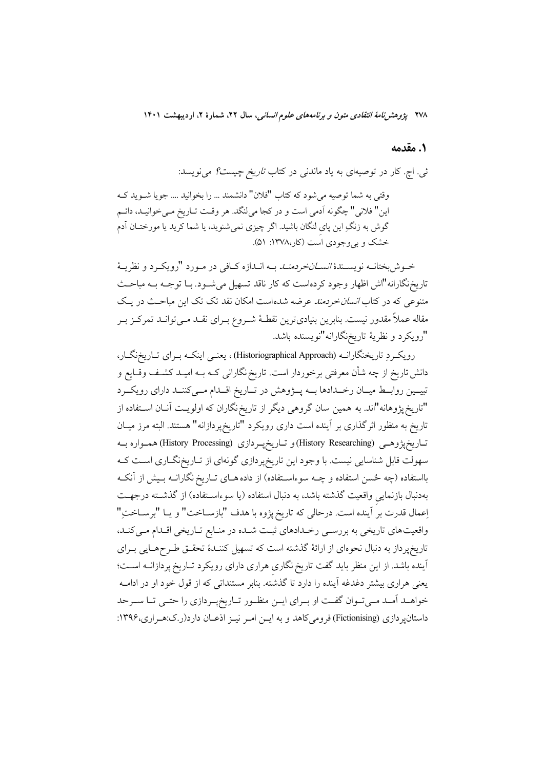۲۷۸ پژوهشرنامهٔ *انتقادی متون و برنامههای علوم انسانی*، سال ۲۲، شمارهٔ ۲، اردیبهشت ۱۴۰۱

### 1. مقدمه

ئی. اچ. کار در توصیهای به یاد ماندنی در کتاب *تاریخ چیست؟* میiویسد:

وقتی به شما توصیه می شود که کتاب "فلان" دانشمند … را بخوانید … جو یا شـوید کـه این" فلانی" چگونه آدمی است و در کجا میلنگد. هر وقت تـاریخ مـیخوانیـد، دائـم گوش به زنگِ این پای لنگان باشید. اگر چیزی نمی شنوید، یا شما کرید یا مورختــان آدم خشک و بی وجودی است (کار،۱۳۷۸: ۵۱).

خـوش بختانــه نويســندهٔ *انســانخردمنــد* بــه انــدازه كــافي در مــورد "رويكــرد و نظريــهٔ تاریخنگارانه"اش اظهار وجود کردهاست که کار ناقد تسهیل می شـود. بـا توجـه بـه مباحـث متنوعی که در کتاب *انسان خردمند عرضه شده است امکان نقد تک تک این مباح*ث در یک مقاله عملاً مقدور نیست. بنابرین بنیادیترین نقطـهٔ شــروع بـرای نقــد مــی توانــد تمرکــز بــر "رويكرد و نظريهٔ تاريخنگارانه"نويسنده باشد.

رویک و تاریخنگارانــه (Historiographical Approach)، یعنــی اینکــه بــرای تــاریخنگــار، دانش تاریخ از چه شأن معرفتی برخوردار است. تاریخ نگارانی کــه بــه امیــد کشــف وقــایع و تبیمین روابط میمان رخمدادها بسه پسژوهش در تماریخ اقسدام مسی کننسد دارای رویکسرد "تاریخ پژوهانه"اند. به همین سان گروهی دیگر از تاریخ نگاران که اولویـت آنــان اســتفاده از تاریخ به منظور اثر گذاری بر آینده است داری رویکرد "تاریخپردازانه" هستند. البته مرز میـان تـاريخپژوهـي (History Researching)و تـاريخپـردازي (History Processing)همـواره بــه سهولت قابل شناسایی نیست. با وجود این تاریخپردازی گونهای از تـاریخنگـاری اسـت کـه بااستفاده (چه حُسن استفاده و چــه سوءاســتفاده) از داده هــای تــاریخ نگارانــه بــیش از آنکــه بهدنبال بازنمايي واقعيت گذشته باشد، به دنبال استفاده (يا سوءاسـتفاده) از گذشـته درجهـت إعمال قدرت بر اَينده است. درحالي كه تاريخ پژوه با هدف "بازســاخت" و يــا "برســاخت ِ" واقعیتهای تاریخی به بررسی رخدادهای ثبت شده در منابع تاریخی اقدام می کند، تاریخپرداز به دنبال نحوهای از ارائهٔ گذشته است که تسهیل کننـدهٔ تحقـق طـرحهـایی بـرای آینده باشد. از این منظر باید گفت تاریخ نگاری هراری دارای رویکرد تـاریخ پردازانــه اسـت؛ یعنی هراری بیشتر دغدغه آینده را دارد تا گذشته. بنابر مستنداتی که از قول خود او در ادامــه خواهـد آمـد مـىتـوان گفـت او بـراى ايـن منظـور تـاريخپـردازي را حتـى تـا سـرحد داستانپردازی (Fictionising) فرومی کاهد و به ایـن امـر نیـز اذعـان دارد(ر.ک:هـراری،۱۳۹۶: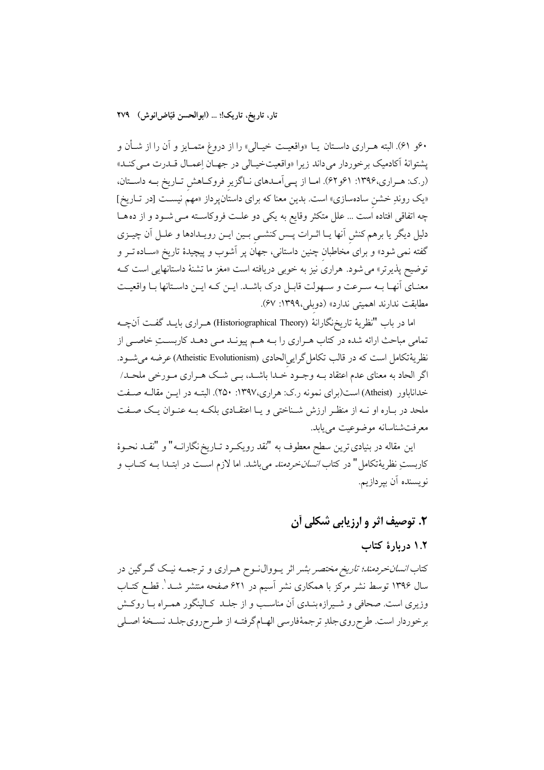۶۰و ۴۱). البته هـراري داســتان يــا «واقعيــت خيــالي» را از دروغ متمــايز و آن را از شــأن و یشتوانهٔ آکادمیک برخوردار می داند زیرا «واقعیتخیـالی در جهـان اِعمـال قــدرت مــی کنــد» (ر.ک: هـراري،۱۳۹۶: ۶۱و۶۲). امـا از پـی آمـدهای نـاگزیر فروکـاهش تـاریخ بـه داسـتان، «یک روندِ خشن سادهسازی» است. بدین معنا که برای داستانپرداز «مهم نیست [در تـاریخ] چه اتفاقی افتاده است ... علل متکثر وقایع به یکی دو علت فروکاسته مـی شـود و از ده هـا دلیل دیگر یا برهم کنش آنها یـا اثـرات پـس کنشـی بـین ایـن رویـدادها و علـل آن چیـزی گفته نمی شود» و برای مخاطبان چنین داستانی، جهان پر آشوب و پیچیدهٔ تاریخ «سـاده تــر و توضیح پذیرتر» می شود. هراری نیز به خوبی دریافته است «مغز ما تشنهٔ داستانهایی است ک معنـاي آنهـا بـه سـرعت و سـهولت قابـل درك باشـد. ايـن كـه ايـن داسـتانها بـا واقعيـت مطابقت ندارند اهمیتی ندارد» (دوبلی،۱۳۹۹: ۶۷).

اما در باب "نظريهٔ تاريخنگارانهٔ (Historiographical Theory) هـراري بايــد گفــت آنچــه تمامی مباحث ارائه شده در کتاب هـراري را بـه هـم پيونـد مـي دهـد کاربسـتِ خاصـي از نظريهٔتکامل است که در قالب تکامل گرايىالحادى (Atheistic Evolutionism) عرضه مى شـود. اگر الحاد به معنای عدم اعتقاد بــه وجــود خــدا باشــد، بــی شــک هــراری مــورخی ملحــد/ خداناباور (Atheist) است(برای نمونه ر.ک: هراری،۱۳۹۷: ۲۵۰). البتـه در ایــن مقالـه صــفت ملحد در بـاره او نــه از منظـر ارزش شــناختی و یـا اعتقـادی بلکـه بــه عنـوان یـک صــفت معرفت شناسانه موضوعیت می پابد.

این مقاله در بنیادی ترین سطح معطوف به "نقد رویکـرد تـاریخ نگارانــه" و "نقــد نحــوهٔ كاربستِ نظريهٔتكامل" در كتا*ب انسان خردمند مي* باشد. اما لازم اسـت در ابتــدا بــه كتــاب و نويسنده آن بپردازيم.

## ۲. توصيف اثر و ارزيابي شکلي آن

## ۱.۲ دربارهٔ کتاب

کتاب *انسانخردمند؛ تاریخ مختصر بشر* اثر یــووال**نــوح هــراری و ترجمــه نیــک گــرگین** در سال ۱۳۹۶ توسط نشر مرکز با همکاری نشر اسیم در ۶۲۱ صفحه منتشر شـد'. قطـع کتــاب وزیری است. صحافی و شـیرازه بنـدی آن مناسـب و از جلـد کـالینگور همـراه بـا روکـش برخوردار است. طرحروي جلدِ ترجمهٔفارسي الهـام گرفتـه از طـرحروي جلـد نسـخهٔ اصـلي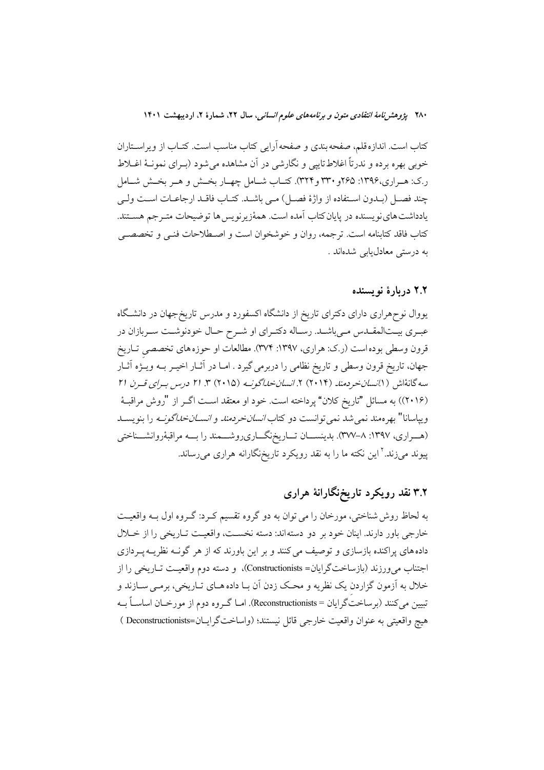۲۸۰ پژ*وهش نامهٔ انتقادی متون و برنامههای علوم انسانی*، سال ۲۲، شمارهٔ ۲، اردیبهشت ۱۴۰۱

کتاب است. اندازه قلم، صفحه بندی و صفحه آرایی کتاب مناسب است. کتــاب از ویراســتاران خوبي بهره برده و ندرتاً اغلاط تاييي و نگارشي در آن مشاهده مي شود (بـراي نمونــهٔ اغــلاط ر.ک: هـراري،۱۳۹۶: ۲۶۵و ۳۳۰ و۳۲۴). کتـاب شـامل چهـار بخـش و هـر بخـش شـامل چند فصل (بـدون اسـتفاده از واژهٔ فصـل) مـى باشـد. كتـاب فاقـد ارجاعـات اسـت ولـى يادداشت هاي نويسنده در پايان كتاب آمده است. همهٔزيرنويس ها توضيحات متـرجم هســتند. كتاب فاقد كتابنامه است. ترجمه، روان و خوشخوان است و اصـطلاحات فنـى و تخصصـى به درستی معادل،یابی شدهاند .

### ۲.۲ دریارهٔ نویسنده

یووال نوحهراری دارای دکترای تاریخ از دانشگاه اکسفورد و مدرس تاریخ جهان در دانشگاه عبـري بيـتالمقـدس مـىباشـد. رسـاله دكتـراي او شـرح حـال خودنوشـت سـربازان در قرون وسطی بوده است (ر.ک: هراری، ۱۳۹۷: ۳۷۴). مطالعات او حوزه های تخصصی تـاریخ جهان، تاریخ قرون وسطی و تاریخ نظامی را دربرمی گیرد . امـا در آثـار اخیـر بـه ویـژه آثـار سه گانهٔاش ( ۱٪*نسانخردمند (*۲۰۱۴) ۲. *انسانخداگونــه (۲۰*۱۵) ۳. ۲۱ د*رس بـرای قــرن ۲۱* (۲۰۱۶)) به مسائل "تاریخ کلان" پرداخته است. خود او معتقد اسـت اگــر از "روش مراقبــهٔ ويپاسانا" بهرهمند نمي شد نمي توانست دو كتاب *انسان خردمند و انســان خداگونــه* را بنويســد (هــراري، ١٣٩٧: ٨-٣٧٧). بدينســـان تـــاريخنگـــاريروشـــمند را بـــه مراقبۀروانشـــناختي پیوند میزند.<sup>۲</sup> این نکته ما را به نقد رویکرد تاریخنگارانه هراری میرساند.

# ۳.۲ نقد رویکرد تاریخنگارانهٔ هراری

به لحاظ روش شناختی، مورخان را می توان به دو گروه تقسیم کـرد: گـروه اول بـه واقعیـت خارجي باور دارند. اينان خود بر دو دسته اند: دسته نخسـت، واقعيـت تـاريخي را از خـلال داده های پراکنده بازسازی و توصیف می کنند و بر این باورند که از هر گونــه نظریــه پــردازی اجتناب می ورزند (بازساختگرایان= Constructionists)، و دسته دوم واقعیت تـاریخی را از خلال به اَزمون گزاردن یک نظریه و محک زدن اَن بـا داده هــای تــاریخی، برمــی ســازند و تبیین میکنند (برساختگرایان = Reconstructionists). امـا گـروه دوم از مورخـان اساسـاً بــه هيچ واقعيتي به عنوان واقعيت خارجي قائل نيستند؛ (واساختگرايـان=Deconstructionists )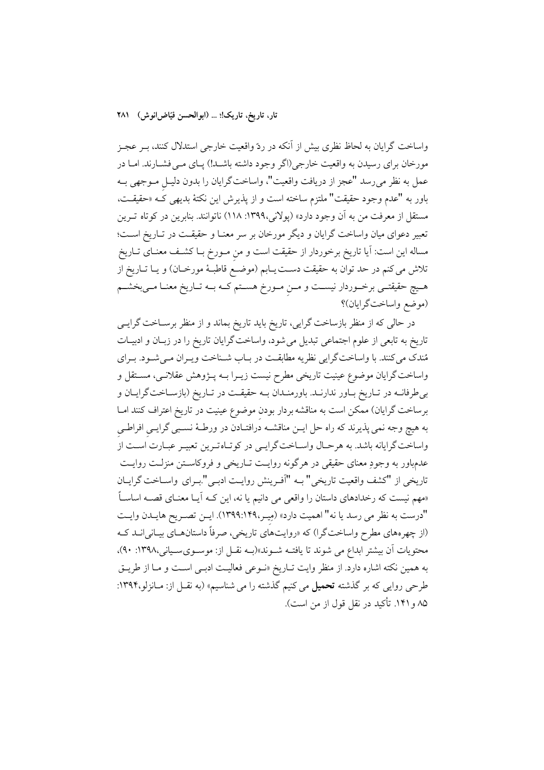واساخت گرایان به لحاظ نظری بیش از آنکه در ردّ واقعیت خارجی استدلال کنند، بـر عجـز مورخان برای رسیدن به واقعیت خارجی(اگر وجود داشته باشــد!) پــای مــی فشــارند. امــا در عمل به نظر مىرسد "عجز از دريافت واقعيت"، واساخت گرايان را بدون دليـل مـوجهى بـه باور به "عدم وجود حقيقت" ملتزم ساخته است و از پذيرش اين نكتهٔ بديهي كه «حقيقـت، مستقل از معرفت من به آن وجود دارد» (پولانی،۱۳۹۹: ۱۱۸) ناتوانند. بنابرین در کوتاه تـرین تعبیر دعوای میان واساخت گرایان و دیگر مورخان بر سر معنـا و حقیقـت در تـاریخ اسـت؛ مساله این است: آیا تاریخ برخوردار از حقیقت است و من مـورخ بــا کشــف معنــای تــاریخ تلاش می کنم در حد توان به حقیقت دسـت یــابم (موضــع قاطبــهٔ مورخــان) و یــا تــاریخ از هـيچ حقيقتـي برخــوردار نيســت و مــن مــورخ هســتم كــه بــه تــاريخ معنــا مــيبخشــم (موضع واساختگرایان)؟

در حالی که از منظر بازساخت گرایی، تاریخ باید تاریخ بماند و از منظر برسـاخت گرایــی تاریخ به تابعی از علوم اجتماعی تبدیل می شود، واساخت گرایان تاریخ را در زبـان و ادبیـات مُندک می کنند. با واساختگرایی نظریه مطابقت در بـاب شـناخت ویـران مـیشـود. بـرای واساخت گرایان موضوع عینیت تاریخی مطرح نیست زیـرا بــه پــژوهش عقلانــی، مســتقل و بی طرفانــه در تــاریخ بــاور ندارنــد. باورمنــدان بــه حقیقــت در تــاریخ (بازســاختگرایــان و برساخت گرایان) ممکن است به مناقشه بردار بودن موضوع عینیت در تاریخ اعتراف کنند امـا به هیچ وجه نمی پذیرند که راه حل ایــن مناقشــه درافتــادن در ورطــهٔ نســبی گرایــی افراطــی واساخت گرایانه باشد. به هرحـال واسـاخت گرایـی در کوتـاهتـرین تعبیـر عبـارت اسـت از عدمباور به وجودِ معنای حقیقی در هرگونه روایـت تـاریخی و فروکاسـتن منزلـت روایـت تاريخي از "كشف واقعيت تاريخي" بـه "آفـرينش روايـت ادبـي".بـراي واسـاخت گرايـان «مهم نیست که رخدادهای داستان را واقعی می دانیم یا نه، این کـه آیـا معنـای قصــه اساسـاً "درست به نظر می رسد یا نه" اهمیت دارد» (مِیـر،١٣٩٩:١٣٩٩). ایـن تصـریح هایـدن وایـت (از چهرههای مطرح واساختگرا) که «روایتهای تاریخی، صرفاً داستانهـای بیـانی|نــد کــه محتويات أن بيشتر ابداع مي شوند تا يافتــه شــوند»(بــه نقــل از: موســوىســياني،١٣٩٨: ٩٠)، به همین نکته اشاره دارد. از منظر وایت تـاریخ «نـوعی فعالیـت ادبـی اسـت و مـا از طریـق طرحی روایی که بر گذشته تحمیل می کنیم گذشته را می شناسیم» (به نقــل از: مــانزلو،۱۳۹۴: ۸۵ و ۱۴۱. تأکید در نقل قول از من است).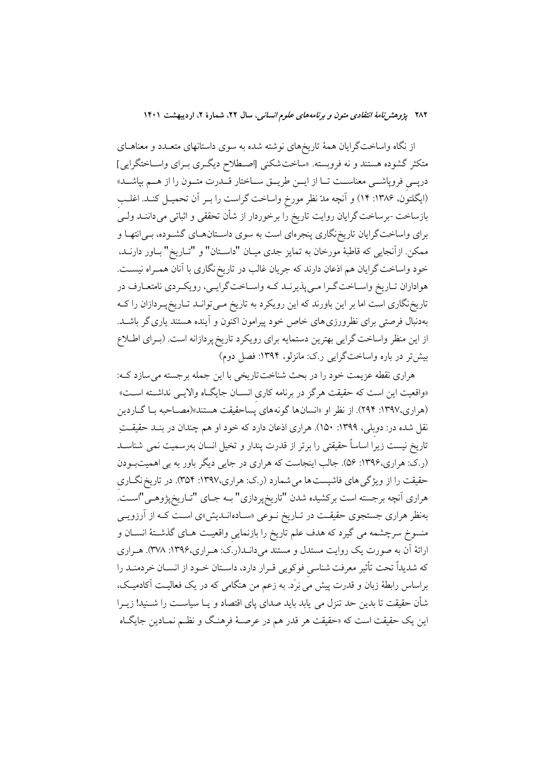۲۸۲ پژ*وهش نامهٔ انتقادی متون و برنامههای علوم انسانی،* سال ۲۲، شمارهٔ ۲، اردیبهشت ۱۴۰۱

از نگاه واساختگرایان همهٔ تاریخهای نوشته شده به سوی داستانهای متعـدد و معناهـای متکثر گشوده هستند و نه فروبسته. «ساخت شکنی [اصطلاح دیگری بـرای واسـاختگرایی] درپــی فروپاشـــی معناســـت تــا از ایـــن طریـــق ســـاختار قـــدرت متـــون را از هـــم بپاشـــد» (ایگلتون، ۱۳۸۶: ۱۴) و آنچه مدّ نظر مورخ واساخت گراست را بـر آن تحمیـل کنـد. اغلـب بازساخت -برساخت گرایان روایت تاریخ را برخوردار از شأن تحققی و اثباتی میداننــد ولــی برای واساخت گرایان تاریخ نگاری پنجرهای است به سوی داسـتانهـای گشـوده، بـی|نتهـا و ممکن ازآنجایی که قاطبهٔ مورخان به تمایز جدی میـان "داســتان" و "تــاریخ" بــاور دارنــد، خود واساخت گرایان هم اذعان دارند که جریان غالب در تاریخ نگاری با آنان همـراه نیســت. هواداران تـاريخ واسـاخت گـرا مـي پذيرنــد كـه واسـاخت گرايــي، رويكـردي نامتعـارف در تاریخنگاری است اما بر این باورند که این رویکرد به تاریخ مـیتوانـد تـاریخپـردازان را کـه بهدنبال فرصتی برای نظرورزی های خاص خود پیرامون اکنون و آینده هستند یاری گر باشــد. از این منظر واساخت گرایی بهترین دستمایه برای رویکرد تاریخ پردازانه است. (بـرای اطــلاع بیش تر در باره واساختگرایی رک: مانزلو، ۱۳۹۴: فصل دوم)

هراري نقطه عزيمت خود را در بحث شناخت تاريخي با اين جمله برجسته مي سازد كه: «واقعیت این است که حقیقت هرگز در برنامه کاری انســان جایگــاه والایــی نداشــته اســت» (هراري،١٣٩٧: ٢٩۴). از نظر او «انسانها گونههاي پساحقيقت هستند»(مصـاحبه بـا گــاردين نقل شده در: دوبلی، ۱۳۹۹: ۱۵۰). هراری اذعان دارد که خود او هم چندان در بنــد حقیقـــتِ تاریخ نیست زیرا اساساً حقیقتی را برتر از قدرت پندار و تخیل انسان بهرسمیت نمی شناسـد (ر.ک: هراری،۱۳۹۶: ۵۶). جالب اینجاست که هراری در جایی دیگر باور به بی اهمیتبودن حقیقت را از ویژگی های فاشیست ها می شمارد (ر.ک: هراری،۱۳۹۷: ۳۵۴). در تاریخ نگــاری هراري اّنچه برجسته است بركشيده شدن "تاريخپردازي" بــه جـاي "تـاريخپژوهـي"اســت. بهنظر هراری جستجوی حقیقـت در تـاریخ نــوعی «ســادهانــدیش»ی اســت کــه از آرزویــی منسوخ سرچشمه می گیرد که هدف علم تاریخ را بازنمایی واقعیت هـای گذشـتهٔ انسـان و ارائهٔ اَن به صورت یک روایت مستدل و مستند میدانــد(ر.َک: هــراری،۱۳۹۶: ۳۷۸). هــراری كه شديداً تحت تأثير معرفت شناسي فوكويي قـرار دارد، داسـتان خـود از انســان خردمنــد را براساس رابطهٔ زبان و قدرت پیش مَی بَرَد. به زعم من هنگامی که در یک فعالیــت اَکادمیــک، شأن حقیقت تا بدین حد تنزل می یابد باید صدای پای اقتصاد و یــا سیاســت را شـــنید! زیــرا این یک حقیقت است که «حقیقت هر قدر هم در عرصـهٔ فرهنـگ و نظـم نمـادین جایگـاه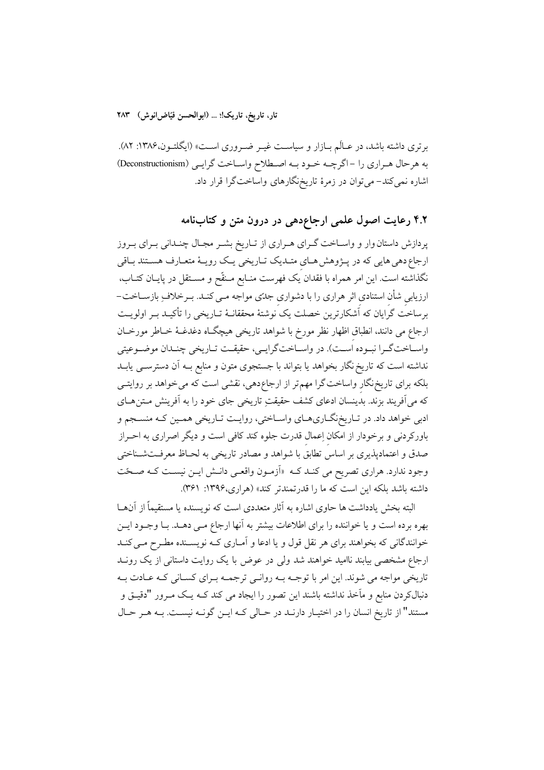برتری داشته باشد، در عـالَم بــازار و سیاسـت غیــر ضــروری اسـت» (ایگلتــون،۱۳۸۶: ۸۲). به هرحال هـراري را -اگرچــه خـود بـه اصـطلاح واسـاخت گرايــي (Deconstructionism) اشاره نمی کند- می توان در زمرهٔ تاریخنگارهای واساختگرا قرار داد.

## ۴.۲ رعایت اصول علمی ارجاعدهی در درون متن و کتابنامه

پردازش داستان وار و واســاخت گــرای هــراری از تــاریخ بشــر مجـال چنــدانی بــرای بــروز ارجاع دهی هایی که در پـژوهش هـای متـدیک تـاریخی یـک رویـهٔ متعـارف هسـتند بـاقی نگذاشته است. این امر همراه با فقدان یک فهرست منـابع مـنقّح و مســتقل در پایــان کتــاب، ارزیابی شأن استنادی اثر هراری را با دشواری جدتی مواجه مـی کنـد. بـرخلاف ِ بازسـاخت-برساخت گرایان که اَشکارترین خصلت یک نوشتهٔ محققانـهٔ تـاریخی را تأکیـد بـر اولویـت ارجاع می دانند، انطباق اظهار نظر مورخ با شواهد تاریخی هیچگاه دغدغــهٔ خــاطر مورخــان واســاخت گــرا نبــوده اُســت). در واســاخت گرايــي، حقيقــت تــاريخي چنــدان موضــوعيتي نداشته است که تاریخ نگار بخواهد یا بتواند با جستجوی متون و منابع بـه آن دسترســی یابــد بلکه برای تاریخ نگار واساخت گرا مهم تر از ارجاعدهی، نقشی است که می خواهد بر روایتــی که می آفریند بزند. بدینسان ادعای کشف حقیقتِ تاریخی جای خود را به آفرینش مـتنهـای ادبی خواهد داد. در تـاریخنگـاريهـاي واسـاختي، روايـت تـاريخي همـين كـه منسـجم و باورکردنی و برخودار از امکان اِعمال قدرت جلوه کند کافی است و دیگر اصراری به احـراز صدق و اعتمادپذیری بر اساس تطابق با شواهد و مصادر تاریخی به لحـاظ معرفـتشـناختی وجود ندارد. هراري تصريح مي كنـد كـه «أزمـون واقعـي دانـش ايـن نيسـت كـه صـحّت داشته باشد بلکه این است که ما را قدرتمندتر کند» (هراری،۱۳۹۶: ۳۶۱).

البته بخش یادداشت ها حاوی اشاره به آثار متعددی است که نویسنده یا مستقیماً از آنهــا بهره برده است و یا خواننده را برای اطلاعات بیشتر به آنها ارجاع مـی دهـد. بـا وجـود ایـن خوانندگانی که بخواهند برای هر نقل قول و یا ادعا و آمـاری کـه نویسـنده مطـرح مـی کنـد ارجاع مشخصی بیابند ناامید خواهند شد ولی در عوض با یک روایت داستانی از یک رونــد تاریخی مواجه می شوند. این امر با توجـه بـه روانـی ترجمـه بـرای کسـانی کـه عـادت بـه دنبالکردن منابع و مآخذ نداشته باشند این تصور را ایجاد می کند کـه یـک مـرور "دقیـق و مستند" از تاریخ انسان را در اختیـار دارنـد در حـالی کـه ایـن گونـه نیسـت. بـه هـر حـال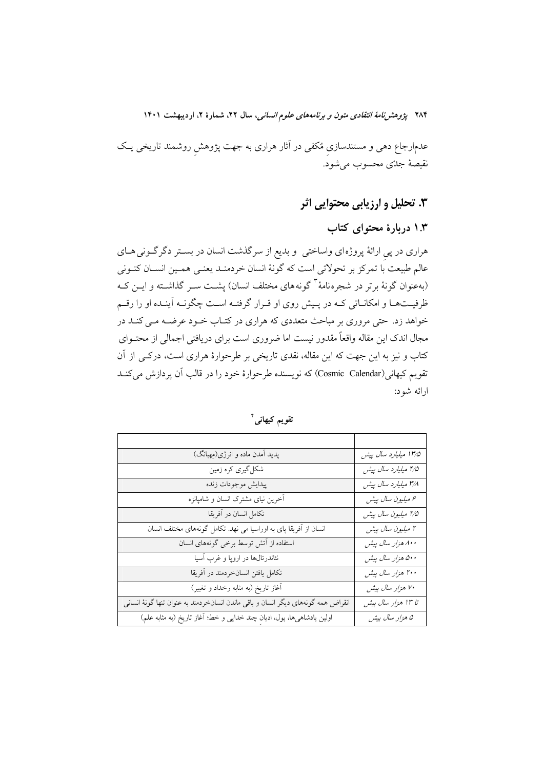۲۸۴ پژ*وهش نامهٔ انتقادی متون و برنامههای علوم انسانی*، سال ۲۲، شمارهٔ ۲، اردیبهشت ۱۴۰۱

عدمارجاع دهی و مستندسازی مُکفی در آثار هراری به جهت پژوهش روشمند تاریخی یـک نقيصة جلّتي محسوب مي شود.

3. تحلیل و ارزیابی محتوایی اثر

۱.۳ دربارهٔ محتوای کتاب

هراری در پی ارائهٔ پروژهای واساختی و بدیع از سرگذشت انسان در بستر دگرگونی هـای عالم طبیعت با تمرکز بر تحولاتی است که گونهٔ انسان خردمنـد یعنـی همـین انســان کنــونی (بهعنوان گونهٔ برتر در شجره نامهٔ ۳ گونههای مختلف انسان) پشت سـر گذاشـته و ایـن کـه ظرفیــتهـا و امکانــاتی کــه در پــیش روی او قــرار گرفتــه اســت چگونــه آینــده او را رقــم خواهد زد. حتی مروری بر مباحث متعددی که هراری در کتـاب خــود عرضــه مــی کنــد در مجال اندک این مقاله واقعاً مقدور نیست اما ضروری است برای دریافتی اجمالی از محتــوای کتاب و نیز به این جهت که این مقاله، نقدی تاریخی بر طرحوارهٔ هراری است، درکـی از آن تقويم كيهاني(Cosmic Calendar) كه نويسنده طرحوارهٔ خود را در قالب آن پردازش ميكنـد ارائه شود:

| پدید آمدن ماده و انرژی(مِهبانگ)                                                   | 1۳/۵ میلیارد سال پیش |
|-----------------------------------------------------------------------------------|----------------------|
| شکلگیری کره زمین                                                                  | ۴/۵ میلیارد سال پیش  |
| پيدايش موجودات زنده                                                               | ۳/۸ میلیارد سال پیش  |
| آخرین نیای مشترک انسان و شامپانزه                                                 | ۶ میلیون سال پیش     |
| تكامل انسان در آفريقا                                                             | 7⁄0 ميليون سال پيش   |
| انسان از آفریقا پای به اوراسیا می نهد. تکامل گونههای مختلف انسان                  | ۲ میلیون سال پیش     |
| استفاده از آتش توسط برخی گونههای انسان                                            | ۸۰۰ هزار سال پیش     |
| نئاندرتالها در اروپا و غرب آسیا                                                   | ۵۰۰ هزار سال پیش     |
| تكامل يافتن انسانخردمند در أفريقا                                                 | ۲۰۰ هزار سال پیش     |
| آغاز تاریخ (به مثابه رخداد و تغییر)                                               | ۷۰ هزار سال پیش      |
| انقراض همه گونههای دیگر انسان و باقی ماندن انسانخردمند به عنوان تنها گونهٔ انسانی | تا ١٣ هزار سال پيش   |
| اولین پادشاهیها، پول، ادیان چند خدایی و خط؛ آغاز تاریخ (به مثابه علم)             | ۵ هزار سال پیش       |

تقويم كيهاني أ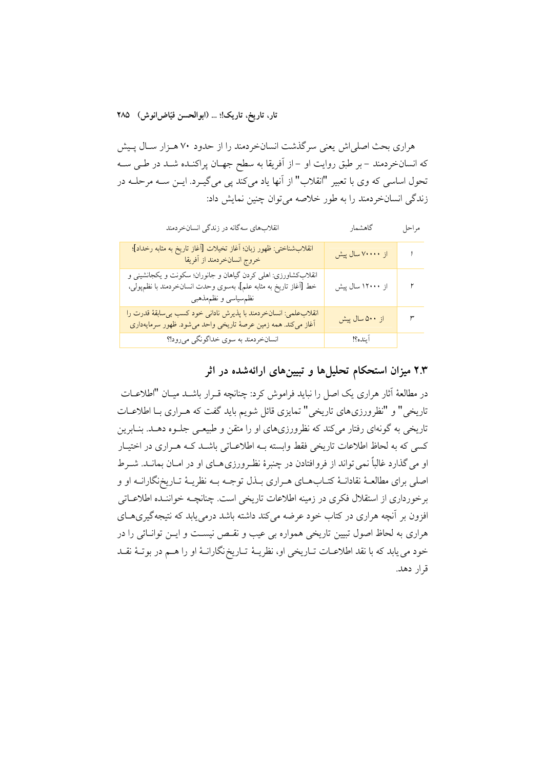هراری بحث اصلی اش یعنی سرگذشت انسانخردمند را از حدود ۷۰ هـزار سـال پـیش که انسانخردمند – بر طبق روایت او –از آفریقا به سطح جهـان پراکنـده شـد در طـی سـه تحول اساسی که وی با تعبیر "انقلاب" از آنها یاد میکند پی میگیرد. ایـن سـه مرحلـه در زندگی انسانخردمند را به طور خلاصه می توان چنین نمایش داد:

| انقلابهای سهگانه در زندگی انسانخردمند                                                                                                                      | گاهشمار                | مراحل |
|------------------------------------------------------------------------------------------------------------------------------------------------------------|------------------------|-------|
| انقلابشناختي: ظهور زبان؛ أغاز تخيلات [أغاز تاريخ به مثابه رخداد]؛<br>خروج انسانخردمند از آفريقا                                                            | از ۷۰۰۰۰ سال پیش       |       |
| انقلابکشاورزی: اهلی کردن گیاهان و جانوران؛ سکونت و یکجانشینی و<br>خط [أغاز تاريخ به مثابه علم]، بهسوى وحدت انسانخردمند با نظمپولى،<br>نظم سیاسی و نظمهذهبی | از ۱۲۰۰۰ سال پیش       | ۲     |
| انقلاب علمي: انسان خردمند با پذيرش ناداني خود كسب بيسابقهٔ قدرت را<br>أغاز میکند. همه زمین عرصهٔ تاریخی واحد میشود. ظهور سرمایهداری                        | از ۵ <b>۰۰</b> سال پیش | ٣     |
| انسانخردمند به سوي خداگونگي ميرود!؟                                                                                                                        | آينده؟!                |       |

## ۲.۳ میزان استحکام تحلیلها و تبیینهای ارائهشده در اثر

در مطالعهٔ آثار هراری یک اصل را نباید فراموش کرد: چنانچه قـرار باشــد میـان "اطلاعــات تاریخی" و "نظرورزیهای تاریخی" تمایزی قائل شویم باید گفت که هـراری بـا اطلاعـات تاریخی به گونهای رفتار میکند که نظرورزیهای او را متقن و طبیعـی جلــوه دهــد. بنــابرین کسی که به لحاظ اطلاعات تاریخی فقط وابسته بـه اطلاعـاتی باشـد کـه هـراری در اختیـار او می گذارد غالباً نمی تواند از فروافتادن در چنبرهٔ نظـرورزی هـای او در امـان بمانــد. شــرط اصلي براي مطالعـهٔ نقادانـهٔ كتـابِهـاي هـراري بـذل توجـه بـه نظريـهٔ تـاريخنگارانـه او و برخورداری از استقلال فکری در زمینه اطلاعات تاریخی است. چنانچــه خواننــده اطلاعــاتی افزون بر آنچه هراری در کتاب خود عرضه میکند داشته باشد درمی پابد که نتیجهگیری های هراری به لحاظ اصول تبیین تاریخی همواره بی عیب و نقـص نیسـت و ایــن توانــائی را در خود می یابد که با نقد اطلاعـات تـاریخی او، نظریـهٔ تـاریخ نگارانـهٔ او را هــم در بوتـهٔ نقـد قرار دهد.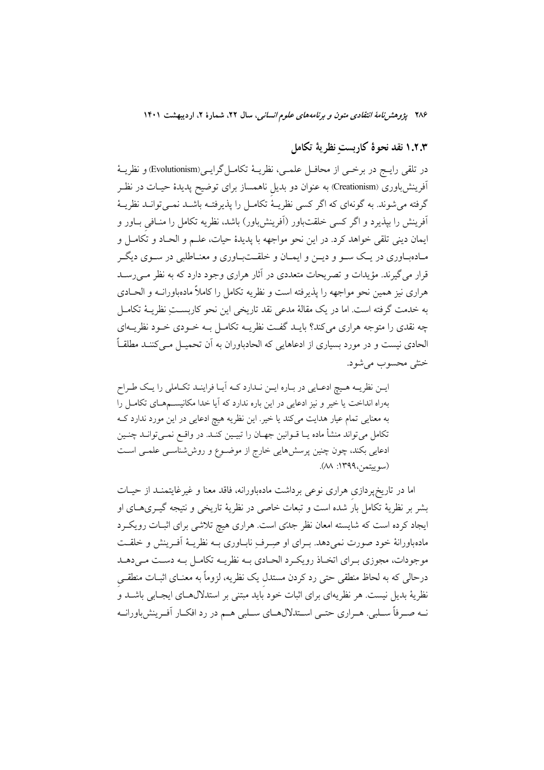۲۸۶ پژوهشرن*امهٔ انتقادی متون و برنامههای علوم انسانی،* سال ۲۲، شمارهٔ ۲، اردیبهشت ۱۴۰۱

## ۱.۲.۳ نقد نحوهٔ کاربست نظریهٔ تکامل

در تلقى رايــج در برخــي از محافــل علمــي، نظريــهٔ تكامــل گرايــي(Evolutionism) و نظريــهٔ آفرینشباوری (Creationism) به عنوان دو بدیل ناهمساز برای توضیح پدیدهٔ حیـات در نظـر گرفته می شوند. به گونهای که اگر کسی نظریـهٔ تکامـل را پذیرفتـه باشــد نمــی توانــد نظریــهٔ آفرینش را بپذیرد و اگر کسی خلقتباور (آفرینش،باور) باشد، نظریه تکامل را منـافی بـاور و ايمان ديني تلقى خواهد كرد. در اين نحو مواجهه با پديدهٔ حيات، علـم و الحـاد و تكامـل و مـادهبـاوري در يـک سـو و ديــن و ايمــان و خلقــتبـاوري و معنــاطلبي در ســوي ديگــر قرار می گیرند. مؤیدات و تصریحات متعددی در آثار هراری وجود دارد که به نظر مـی رسـد هراري نيز همين نحو مواجهه را يذيرفته است و نظريه تكامل را كاملاً مادهباورانــه و الحــادي به خدمت گرفته است. اما در یک مقالهٔ مدعی نقد تاریخی این نحو کاربســتِ نظریــهٔ تکامــل چه نقدی را متوجه هراری می کند؟ بایـد گفـت نظریــه تکامـل بــه خــودی خــود نظریــهای الحادي نيست و در مورد بسياري از ادعاهايي كه الحادباوران به أن تحميــل مــي كننــد مطلقــاً خنثی محسوب می شود.

ایـن نظریـه هـیچ ادعـایی در بـاره ایـن نـدارد کـه آیـا فراینـد تکـاملی را یـک طـراح بهراه انداخت یا خیر و نیز ادعایی در این باره ندارد که آیا خدا مکانیسمهای تکامل را به معنایی تمام عیار هدایت میکند یا خیر. این نظریه هیچ ادعایی در این مورد ندارد ک تکامل میتواند منشأ ماده یــا قــوانین جهــان را تبیــین کنــد. در واقــع نمــیتوانــد چنــین ادعایی بکند، چون چنین پرسش،ایی خارج از موضـوع و روششناسـی علمـی اسـت (سوييتمن،١٣٩٩: ٨٨).

اما در تاریخپردازی هراری نوعی برداشت مادهباورانه، فاقد معنا و غیرغایتمنـد از حیــات بشر بر نظریهٔ تکامل بار شده است و تبعات خاصی در نظریهٔ تاریخی و نتیجه گیـریهـای او ایجاد کرده است که شایسته امعان نظر جدتی است. هراری هیچ تلاشی برای اثبـات رویکـرد مادهباورانهٔ خود صورت نمیدهد. بـرای او صِـرفِ نابــاوری بــه نظریــهٔ اَفــرینش و خلقــت موجودات، مجوزي بـراي اتخـاذ رويكـرد الحـادي بـه نظريـه تكامـل بـه دسـت مـىدهـد درحالی که به لحاظ منطقی حتی رد کردن مستدل یک نظریه، لزوماً به معنــای اثبــات منطقــی نظریهٔ بدیل نیست. هر نظریهای برای اثبات خود باید مبتنی بر استدلالهــای ایجــابی باشــد و نــه صــرفاً ســلبي. هــراري حتــي اســتدلالهــاي ســلبي هــم در رد افكــار أفــرينش باورانــه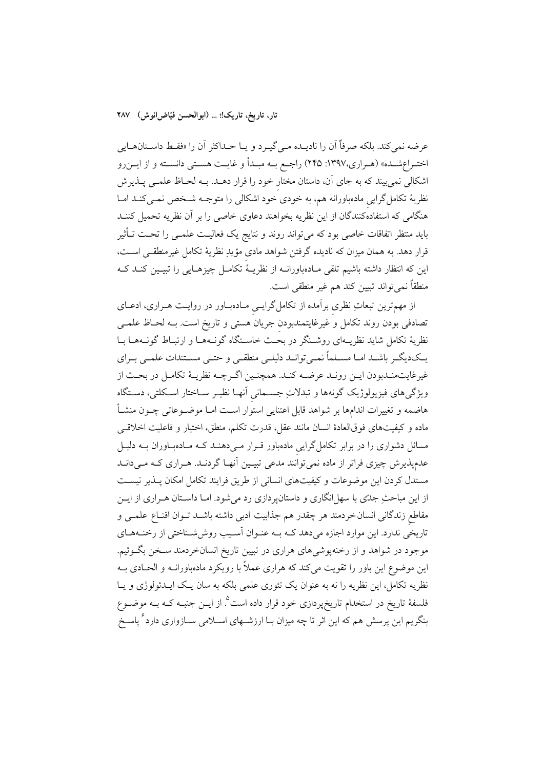عرضه نمي كند. بلكه صرفاً أن را ناديــده مــي&يــرد و يــا حــداكثر أن را «فقــط داســتانهــايي اختـراعشـده» (هـراري،١٣٩٧: ٢۴۵) راجـع بــه مبـدأ و غايــت هسـتي دانســته و از ايــنرو اشکالی نمیبیند که به جای آن، داستان مختار خود را قرار دهــد. بــه لحــاظ علمــی پــذیرش نظریهٔ تکامل گرایی مادهباورانه هم، به خودی خود اشکالی را متوجـه شــخص نمــیکنــد امــا هنگامی که استفادهکنندگان از این نظریه بخواهند دعاوی خاصی را بر آن نظریه تحمیل کننـد باید منتظر اتفاقات خاصی بود که میتواند روند و نتایج یک فعالیـت علمـی را تحـت تـأثیر قرار دهد. به همان میزان که نادیده گرفتن شواهد مادی مؤیدِ نظریهٔ تکامل غیرمنطقـبی اسـت، این که انتظار داشته باشیم تلقی مـادهباورانــه از نظریــهٔ تکامــل چیزهــایی را تبیــین کنــد کــه منطقاً نمي تواند تبيين كند هم غير منطقى است.

از مهمترین تبعاتِ نظری برآمده از تکامل گرایسی مـادهبـاور در روایـت هـراری، ادعــای تصادفی بودن روند تکامل و غیرغایتمندبودن جریان هستی و تاریخ است. بـه لحـاظ علمـی نظریهٔ تکامل شاید نظریــهای روشــنگر در بحَـث خاســتگاه گونــههــا و ارتبــاط گونــههــا بــا یـکدیگــر باشــد امــا مســلماً نمــیتوانــد دلیلــی منطقــی و حتــی مســتندات علمــی بــرای غيرغايتمنـدبودن ايـن رونـد عرضــه كنـد. همچنـين اگـرچـه نظريـهٔ تكامـل در بحـث از ویژگی،های فیزیولوژیک گونهها و تبدلاتِ جسـمانی اَنهـا نظیـر سـاختار اسـکلتی، دسـتگاه هاضمه و تغییرات اندامها بر شواهد قابل اعتنایی استوار است امـا موضــوعاتی چــون منشــأ ماده و كيفيتهاى فوق|لعادهٔ انسان مانند عقل، قدرت تكلم، منطق، اختيار و فاعليت اخلاقبي مسائل دشواری را در برابر تکامل گرایی مادهباور قـرار مـیدهنـد کـه مـادهبـاوران بـه دليـل عدمپذیرش چیزی فراتر از ماده نمیتوانند مدعی تبیـین آنهـا گردنــد. هــراری کــه مــیدانــد مستدل کردن این موضوعات و کیفیتهای انسانی از طریق فرایند تکامل امکان پـذیر نیسـت از این مباحثِ جدّی با سهلِانگاری و داستانپردازی رد میشود. امـا داسـتان هـراری از ایــن مقاطع زندگانی انسان خردمند هر چقدر هم جذابیت ادبی داشته باشـد تـوان اقنـاع علمـی و تاریخی ندارد. این موارد اجازه میدهد کـه بـه عنـوان اَسـیب روشششـناختی از رخنـههـای موجود در شواهد و از رخنهپوشیهای هراری در تبیین تاریخ انسانخردمند سـخن بگــوئیم. این موضوع این باور را تقویت میکند که هراری عملاً با رویکرد مادهباورانــه و الحــادی بــه نظریه تکامل، این نظریه را نه به عنوان یک تئوری علمی بلکه به سان یک ایــدئولوژی و یــا فلسفهٔ تاریخ در استخدام تاریخپردازی خود قرار داده است<sup>۹</sup> از ایــن جنبــه کــه بــه موضــوع بنگریم این پرسش هم که این اثر تا چه میزان بـا ارزشــهای اســلامی ســازواری دارد<sup>۶</sup> پاسـخ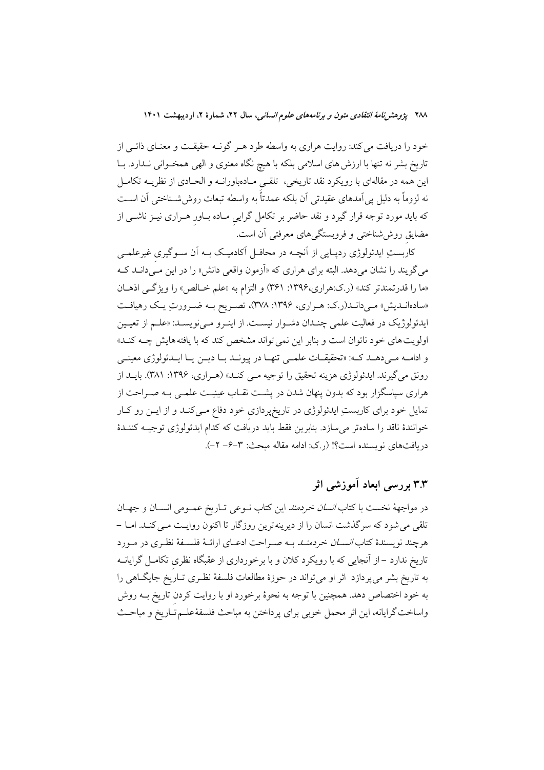خود را دریافت می کند: روایت هراری به واسطه طرد هـر گونـه حقیقـت و معنـای ذاتـی از تاریخ بشر نه تنها با ارزش های اسلامی بلکه با هیچ نگاه معنوی و الهی همخـوانی نـدارد. بــا این همه در مقالهای با رویکرد نقد تاریخی، تلقـی مـادهباورانـه و الحـادی از نظریـه تکامـل نه لزوماً به دلیل پی[مدهای عقیدتی آن بلکه عمدتاً به واسطه تبعات روششسناختی آن اســت که باید مورد توجه قرار گیرد و نقد حاضر بر تکامل گرایی مـاده بــاور هــراری نیــز ناشــی از مضایق روششناخت<sub>ی</sub> و فروبستگیهای معرفتی آن است.<sup>ٔ</sup>

کاربستِ ایدئولوژی ردپـایی از آنچــه در محافــل آکادمیــک بــه اَن ســوگیری غیرعلمــی می گویند را نشان میدهد. البته برای هراری که «آزمون واقعی دانش» را در این مـیدانــد کــه «ما را قدرتمندتر کند» (ر.ک:هراری،۱۳۹۶: ۳۶۱) و التزام به «علم خـالص» را ویژگـی اذهـان «سادهانبدیش» می دانبد(ر.ک: هـراری، ۱۳۹۶: ۳۷۸)، تصـریح بـه ضـرورتِ یـک رهیافـت ایدئولوژیک در فعالیت علمی چندان دشوار نیست. از اینور می نویسد: «علـم از تعیـین اولویت های خود ناتوان است و بنابر این نمی تواند مشخص کند که با یافته هایش چــه کنــد» و ادامـه مـىدهـد كـه: «تحقيقـات علمـى تنهـا در پيونـد بـا ديـن يـا ايــدئولوژى معينـى رونق مي گيرند. ايدئولوژي هزينه تحقيق را توجيه مـي كنـد» (هـراري، ١٣٩۶: ٣٨١). بايـد از هراری سپاسگزار بود که بدون پنهان شدن در پشـت نقـاب عینیـت علمـی بـه صـراحت از تمایل خود برای کاربستِ ایدئولوژی در تاریخپردازی خود دفاع مـیکنـد و از ایــن رو کــار خوانندهٔ ناقد را سادهتر می سازد. بنابرین فقط باید دریافت که کدام ایدئولوژی توجیـه کننـدهٔ دريافتهاي نويسنده است؟! (رک: ادامه مقاله مبحث: ٣–۶– ٢–).

## ۳.۳ پروسے ابعاد آموزشے اثر

در مواجههٔ نخست با کتاب *انسان خردمند* این کتاب نـوعی تـاریخ عمـومی انسـان و جهـان تلقی می شود که سرگذشت انسان را از دیرینه ترین روزگار تا اکنون روایـت مـی کنـد. امـا – هرچند نویسندهٔ کتا*ب انســان خردمنــد* بــه صــراحت ادعــای ارائــهٔ فلســفهٔ نظـری در مــورد تاریخ ندارد –از آنجایی که با رویکرد کلان و با برخورداری از عقبگاه نظری تکامـل گرایانــه به تاریخ بشر می پردازد اثر او می تواند در حوزهٔ مطالعات فلسفهٔ نظـری تـاریخ جایگــاهـی را به خود اختصاص دهد. همچنین با توجه به نحوهٔ برخورد او با روایت کردن تاریخ بــه روش واساخت گرایانه، این اثر محمل خوبی برای پرداختن به مباحث فلسفهٔعلـم تـاریخ و مباحـث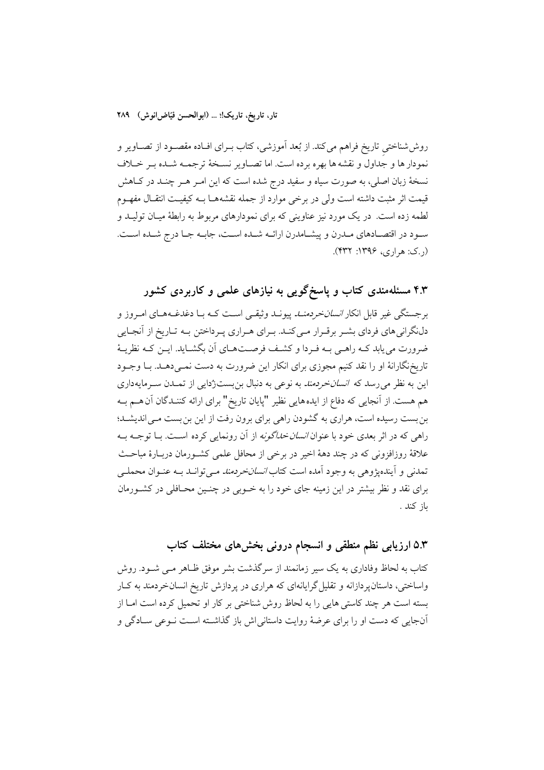روششاختی تاریخ فراهم میکند. از بُعد اَموزشی، کتاب بـرای افـاده مقصـود از تصـاویر و نمودار ها و جداول و نقشه ها بهره برده است. اما تصـاویر نسـخهٔ ترجمـه شـده بـر خـلاف نسخهٔ زبان اصلی، به صورت سیاه و سفید درج شده است که این امـر هـر چنـد در کـاهش قیمت اثر مثبت داشته است ولی در برخی موارد از جمله نقشههـا بــه کیفیــت انتقـال مفهــوم لطمه زده است. در یک مورد نیز عناوینی که برای نمودارهای مربوط به رابطهٔ میـان تولیــد و سـود در اقتصـادهاي مـدرن و پيشـامدرن ارائــه شـده اسـت، جابــه جـا درج شــده اسـت.  $(2.2)$ . هراری، ۱۳۹۶: ۴۳۲).

۴.۳ مسئلهمندی کتاب و پاسخگویی به نیازهای علمی و کاربردی کشور

برجستگی غیر قابل انکار *انسان خردمنــاـ* پیونــد وثیقــی اســت کــه بــا دغدغــههــای امــروز و دلنگرانی های فردای بشـر برقـرار مـی کنـد. بـرای هـراری پـرداختن بـه تـاریخ از آنجـایی ضرورت می یابد کــه راهــی بــه فــردا و کشــف فرصــتحــای آن بگشــاید. ایــن کــه نظریــهٔ تاریخنگارانهٔ او را نقد کنیم مجوزی برای انکار این ضرورت به دست نمـیدهــد. بــا وجــود این به نظر می رسد که ا*نسان خردمند* به نوعی به دنبال بنبست(دایی از تمـدن سـرمایهداری هم هست. از آنجایی که دفاع از ایدههایی نظیر "پایان تاریخ" برای ارائه کننـدگان آن هــم بــه بن بست رسیده است، هراری به گشودن راهی برای برون رفت از این بن بست مـی اندیشـد؛ راه<sub>ی</sub> که در اثر بعدی خود با عنوان *انسان خداگونه* از آن رونمایی کرده اسـت. بــا توجــه بــه علاقهٔ روزافزونی که در چند دههٔ اخیر در برخی از محافل علمی کشـورمان دربـارهٔ مباحـث تمدنی و آیندهیژوهی به وجود آمده است کتاب *انسانخردمند مـی*توانــد بــه عنــوان محملــی برای نقد و نظر بیشتر در این زمینه جای خود را به خــوبی در چنــین محــافلی در کشــورمان ىاز كند .

## ۵.۳ ارزیابی نظم منطقی و انسجام درونی بخشهای مختلف کتاب

کتاب به لحاظ وفاداری به یک سیر زمانمند از سرگذشت بشر موفق ظـاهر مـی شــود. روش واساختی، داستان پر دازانه و تقلیل گرایانهای که هراری در پر دازش تاریخ انسان خر دمند به کبار بسته است هر چند کاستی هایی را به لحاظ روش شناختی بر کار او تحمیل کرده است امـا از آنجایی که دست او را برای عرضهٔ روایت داستانی اش باز گذاشته است نـوعی سـادگی و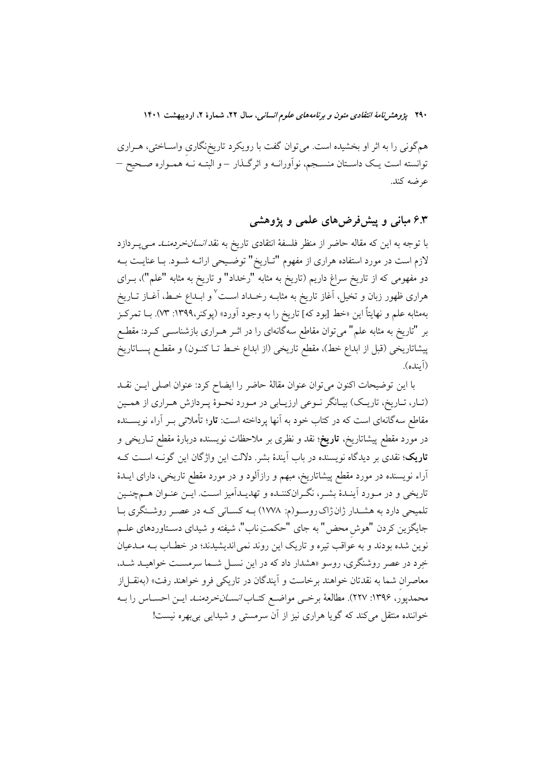همگونی را به اثر او بخشیده است. میتوان گفت با رویکرد تاریخ،گاری واســاختی، هــراری توانسته است یـک داسـتان منسـجم، نواَورانــه و اثرگــذار –و البتــه نــه همــواره صـحیح – عرضه کند.

### ۶.۳ مبانی و پیشفررضهای علمی و یژوهشی

با توجه به این که مقاله حاضر از منظر فلسفهٔ انتقادی تاریخ به نقد *انسانخردمنــد مــی*پــردازد لازم است در مورد استفاده هراری از مفهوم "تـاریخ" توضـیحی ارائـه شـود. بـا عنایــت بــه دو مفهومی که از تاریخ سراغ داریم (تاریخ به مثابه "رخداد" و تاریخ به مثابه "علم")، بــرای هراری ظهور زبان و تخیل، آغاز تاریخ به مثابــه رخــداد اســت<sup>٧</sup> و ابــداع خــط، آغــاز تــاریخ بهمثابه علم و نهایتاً این «خط [بود که] تاریخ را به وجود آورد» (پوکنر،۱۳۹۹: ۷۳). بــا تمرکــز بر "تاریخ به مثابه علم" میتوان مقاطع سهگانهای را در اثــر هــراری بازشناســی کــرد: مقطــع پیشاتاریخی (قبل از ابداع خط)، مقطع تاریخی (از ابداع خـط تــا کنــون) و مقطــع پســاتاریخ (آینده).

با اين توضيحات اكنون مي توان عنوان مقالة حاضر را ايضاح كرد: عنوان اصلى ايـن نقــد (تـار، تـاريخ، تاريـک) بيـانگر نـوعي ارزيـابي در مـورد نحـوۀ پـردازش هـراري از همـين مقاطع سهگانهای است که در کتاب خود به آنها پرداخته است: **تار**؛ تأملاتی بـر آراء نویســنده در مورد مقطع پیشاتاریخ، **تاریخ**؛ نقد و نظری بر ملاحظات نویسنده دربارهٔ مقطع تــاریخی و <mark>تاریک</mark>؛ نقدی بر دیدگاه نویسنده در باب آیندهٔ بشر. دلالت این واژگان این گونــه اســت کــه آراء نویسنده در مورد مقطع پیشاتاریخ، مبهم و رازآلود و در مورد مقطع تاریخی، دارای ایــدهٔ تاریخی و در مـورد اَینـدهٔ بشـر، نگـرانکننـده و تهدیـداَمیز اسـت. ایـن عنـوان هــمچنـین تلمیحی دارد به هشـدار ژان ژاک روسـو(م: ۱۷۷۸) بـه کسـانی کـه در عصـر روشـنگری بـا جايگزين كردن "هوش محض" به جاي "حكمتِ ناب"، شيفته و شيداي دسـتاوردهاي علـم نوین شده بودند و به عواقب تیره و تاریک این روند نمی اندیشیدند؛ در خطـاب بــه مــدعیان خرد در عصر روشنگری، روسو «هشدار داد که در این نســل شــما سرمســت خواهیــد شــد. معاصران شما به نقدتان خواهند برخاست و آیندگان در تاریکی فرو خواهند رفت» (بهنقـل|ز محمدپور، ۱۳۹۶: ۲۲۷). مطالعهٔ برخمی مواضع کتـاب *انســانخردمنــد* ايــن احســاس را بــه خواننده منتقل می کند که گویا هراری نیز از آن سرمستی و شیدایی بی بهره نیست!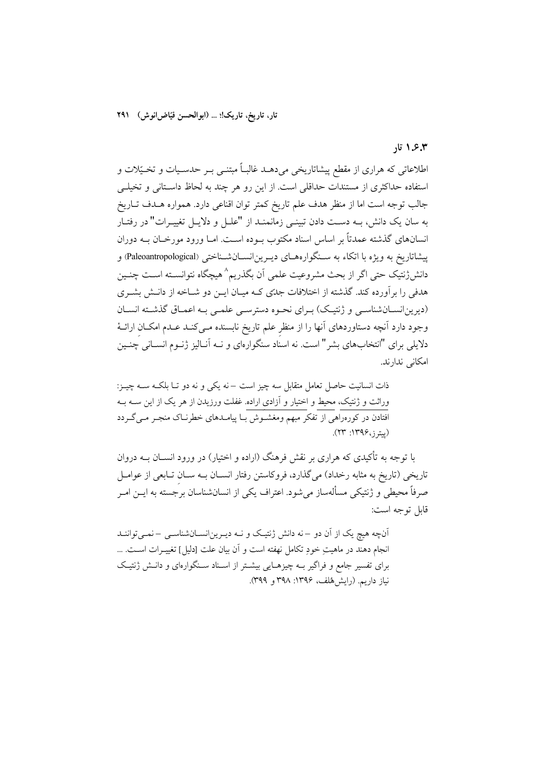#### ۶.۳. تار

اطلاعاتی که هراری از مقطع پیشاتاریخی میدهــد غالبــاً مبتنــی بــر حدســیات و تخــیّلات و استفاده حداکثری از مستندات حداقلی است. از این رو هر چند به لحاظ داستانی و تخیلـی جالب توجه است اما از منظر هدف علم تاريخ كمتر توان اقناعي دارد. همواره هــدف تــاريخ به سان یک دانش، بــه دســت دادن تبینــی زمانمنــد از "علــل و دلایــل تغییــرات" در رفتــار انسانهای گذشته عمدتاً بر اساس اسناد مکتوب بــوده اســت. امــا ورود مورخــان بــه دوران پیشاتاریخ به ویژه با اتکاء به سـنگوارههـای دیـرین|نســانشــناختی (Paleoantropological) و دانش(نتیک حتی اگر از بحث مشروعیت علمی آن بگذریم^هیچگاه نتوانسـته اسـت چنـین هدفی را برآورده کند. گذشته از اختلافات جدتی کـه میـان ایــن دو شــاخه از دانــش بشــری (دیرین|نســانشناســی و ژنتیـک) بــرای نحـوه دسترســی علمــی بـه اعمــاق گذشــته انســان وجود دارد آنچه دستاوردهای آنها را از منظر علم تاریخ نابسنده مـیکنـد عـدم امکــان ارائــهٔ دلایلی برای "انتخابهای بشر" است. نه اسناد سنگوارهای و نــه آنــالیز ژنــوم انســانی چنــین امکانی ندارند.

ذات انسانیت حاصل تعامل متقابل سه چیز است –نه یکی و نه دو تـا بلکـه ســه چیــز: وراثت و ژنتیک، محیط و اختیار و آزادی اراده. غفلت ورزیدن از هر یک از این ســه بــه افتادن در کورهراهی از تفکر مبهم ومغشـوش بـا پیامـدهای خطرنـاک منجـر مـیگـردد (پیترز،۱۳۹۶: ۲۳).

با توجه به تأکیدی که هراری بر نقش فرهنگ (اراده و اختیار) در ورود انســان بــه دروان تاریخی (تاریخ به مثابه رخداد) میگذارد، فروکاستن رفتار انسـان بـه سـان تـابعی از عوامـل صرفاً محیطی و ژنتیکی مسألهساز میشود. اعتراف یکی از انسانشناسان برجسته به ایــن امــر قابل توجه است:

آنچه هیچ یک از آن دو –نه دانش ژنتیک و نـه دیـرینانسـانشناسـی –نمـیتواننـد انجام دهند در ماهيتِ خودِ تكامل نهفته است و آن بيان علت [دليل] تغييــرات اســت. ... برای تفسیر جامع و فراگیر بـه چیزهـایی بیشـتر از اسـناد سـنگوارهای و دانـش ژنتیـک نياز داريم. (رايش هُلف، ١٣٩۶: ٣٩٨ و ٣٩٩).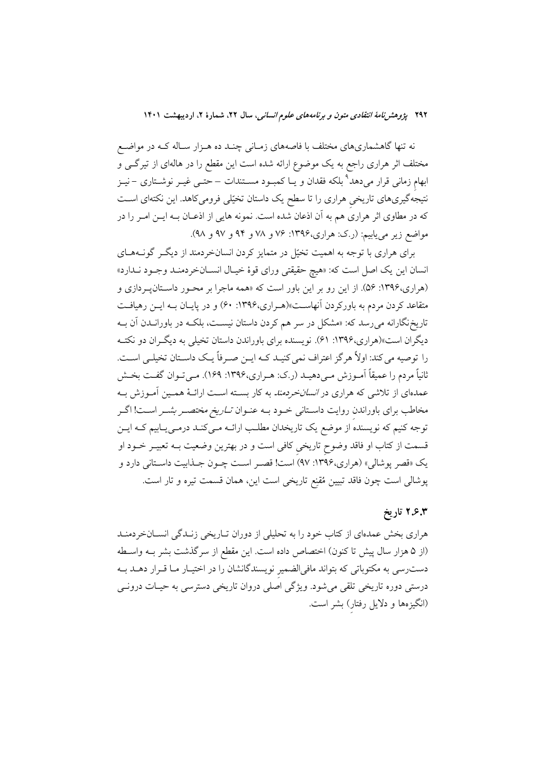نه تنها گاهشماریهای مختلف با فاصههای زمـانی چنـد ده هــزار سـاله کــه در مواضــع مختلف اثر هراری راجع به یک موضوع ارائه شده است این مقطع را در هالهای از تیرگــی و ابهام زمانی قرار میدهد<sup>۹</sup> بلکه فقدان و یـا کمبـود مســتندات –حتــی غیــر نوشــتاری – نیــز نتیجهگیریهای تاریخی هراری را تا سطح یک داستان تخیّلی فرومیکاهد. این نکتهای است که در مطاوی اثر هراری هم به آن اذعان شده است. نمونه هایی از اذعـان بــه ایــن امـر را در مواضع زیر می یابیم: (ر.ک: هراری،۱۳۹۶: ۷۶ و ۷۸ و ۹۴ و ۹۷ و ۹۸).

برای هراری با توجه به اهمیت تخیّل در متمایز کردن انسانخردمند از دیگ گونـههـای انسان این یک اصل است که: «هیچ حقیقتی ورای قوهٔ خیـال انســانخردمنــد وجــود نــدارد» (هراری،۱۳۹۶: ۵۶). از این رو بر این باور است که «همه ماجرا بر محـور داسـتانپـردازی و متقاعد کردن مردم به باورکردن آنهاست»(هـراری،۱۳۹۶: ۶۰) و در پایـان بــه ایــن رهیافــت تاریخنگارانه می رسد که: «مشکل در سر هم کردن داستان نیسـت، بلکـه در باورانــدن آن بــه دیگران است»(هراری،۱۳۹۶: ۶۱). نویسنده برای باوراندن داستان تخیلی به دیگـران دو نکتــه را توصیه می کند: اولاً هرگز اعتراف نمی کنیـد کـه ایــن صــرفاً یــک داسـتان تخیلــی اســت. ثانياً مردم را عميقاً اَمـوزش مـىدهيـد (ر.ک: هـراري،١٣٩۶: ١۶٩). مـىتـوان گفـت بخـش عمدهای از تلاشی که هراری در *انسانخردمند* به کار بسته اسـت ارائــهٔ همــین آمــوزش بــه مخاطب برای باوراندن روایت داسـتانی خـود بــه عنـوان *تــاریخ مختصــر بشــر* اســت! اگــر توجه کنیم که نویسنده از موضع یک تاریخدان مطلب ارائــه مــیکنــد درمــی\_بـابیم کــه ایــن قسمت از کتاب او فاقد وضوح تاریخی کافی است و در بهترین وضعیت بــه تعبیــر خــود او یک «قصر پوشالی» (هراری،۱۳۹۶: ۹۷) است! قصـر اسـت چـون جـذابیت داسـتانی دارد و پوشالی است چون فاقد تبیین مُقنِع تاریخی است این، همان قسمت تیره و تار است.

### ۲.۶.۳ تاریخ

هراری بخش عمدهای از کتاب خود را به تحلیلی از دوران تـاریخی زنـدگی انسـانخردمنـد (از ۵ هزار سال پیش تا کنون) اختصاص داده است. این مقطع از سرگذشت بشر بـه واسـطه دست٫سی به مکتوباتی که بتواند مافیالضمیر نویسندگانشان را در اختیـار مـا قــرار دهــد بــه درستی دوره تاریخی تلقی میشود. ویژگی اصلی دروان تاریخی دسترسی به حیـات درونــی (انگیزهها و دلایل رفتار) بشر است.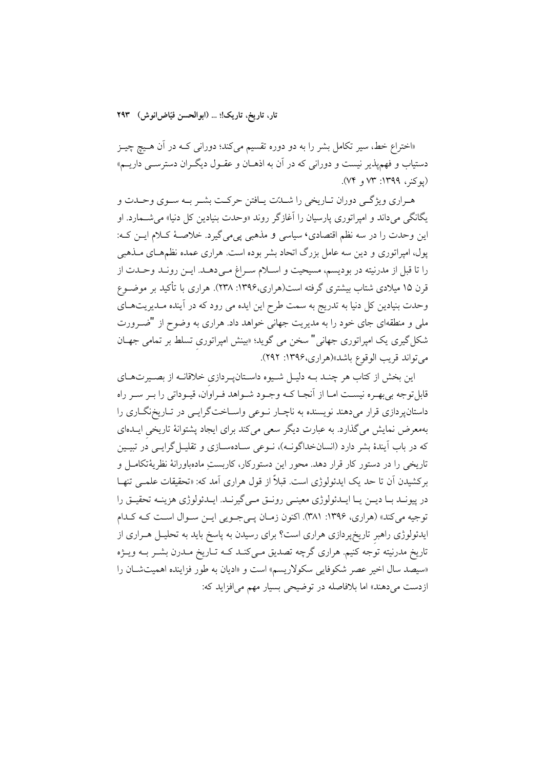«اختراع خط، سیر تکامل بشر را به دو دوره تقسیم میکند؛ دورانی کـه در آن هـیچ چیـز دستیاب و فهم پذیر نیست و دورانی که در آن به اذهــان و عقــول دیگــران دسترســی داریـــم» (يوكنر، ١٣٩٩: ٧٣ و ٧٤).

هـراري ويژگـي دوران تـاريخي را شــدّت يـافتن حركـت بشــر بــه ســوي وحــدت و یگانگی می داند و امپراتوری پارسیان را آغازگر روند «وحدت بنیادین کل دنیا» می شــمارد. او این وحدت را در سه نظم اقتصادی، سیاسی و مذهبی یی می گیرد. خلاصهٔ کـلام ایــن کـه: پول، امپراتوری و دین سه عامل بزرگ اتحاد بشر بوده است. هراری عمده نظمهـای مــذهبی را تا قبل از مدرنیته در بودیسم، مسیحیت و اسـلام سـراغ مـیدهـد. ایـن رونـد وحـدت از قرن ۱۵ میلادی شتاب بیشتری گرفته است(هراری،۱۳۹۶: ۲۳۸). هراری با تأکید بر موضـوع وحدت بنیادین کل دنیا به تدریج به سمت طرح این ایده می رود که در آینده مـدیریتهـای ملی و منطقهای جای خود را به مدیریت جهانی خواهد داد. هراری به وضوح از "ضـرورت شکل گیری یک امپراتوری جهانی" سخن می گوید؛ «بینش امپراتوری تسلط بر تمامی جهـان مي تواند قريب الوقوع باشد»(هراري، ١٣٩۶: ٢٩٢).

این بخش از کتاب هر چنـد بــه دلیــل شــیوه داســتانپـردازی خلاقانــه از بصــیرتهــای قابل توجه بي بهـره نيسـت امـا از آنجـا كــه وجــود شــواهد فــراوان، قيــوداتي را بــر ســر راه داستانپردازی قرار میدهند نویسنده به ناچـار نــوعی واســاختگرایــی در تــاریخنگــاری را بهمعرض نمایش میگذارد. به عبارت دیگر سعی میکند برای ایجاد پشتوانهٔ تاریخی ایــدهای که در باب اَیندهٔ بشر دارد (انسانخداگونــه)، نــوعی ســادهســازی و تقلیــل گرایــی دُر تبیــین تاریخی را در دستور کار قرار دهد. محور این دستورکار، کاربستِ مادهباورانهٔ نظریهٔتکامـل و بركشيدن أن تا حد يك ايدئولوژي است. قبلاً از قول هراري آمد كه: «تحقيقات علمـي تنهـا در پیونـد بـا ديــن يــا ايــدئولوژي معينــي رونــق مــي گيرنــد. ايــدئولوژي هزينــه تحقيــق را توجیه می کند» (هراری، ۱۳۹۶: ۳۸۱). اکنون زمـان یـی جـویی ایـن سـوال اسـت کـه کـدام ایدئولوژی راهبر تاریخپردازی هراری است؟ برای رسیدن به پاسخ باید به تحلیـل هــراری از تاریخ مدرنیته توجه کنیم. هراری گرچه تصدیق مـیکنـد کـه تـاریخ مـدرن بشـر بـه ویـژه «سيصد سال اخير عصر شكوفايي سكولاريسم» است و «اديان به طور فزاينده اهميت شان را ازدست می دهند» اما بلافاصله در توضیحی بسیار مهم می افزاید که: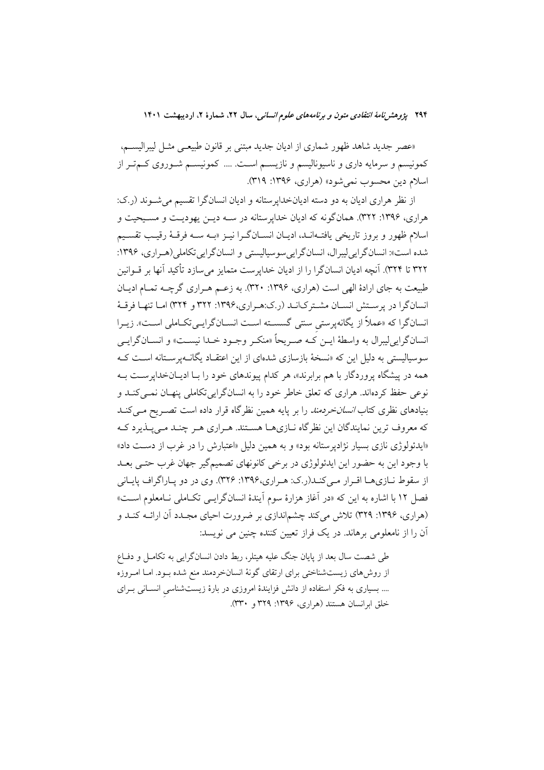«عصر جدید شاهد ظهور شماری از ادیان جدید مبتنی بر قانون طبیعـی مثـل لیبرالیســم، کمونیسم و سرمایه داری و ناسیونالیسم و نازیسـم اسـت. .... کمونیسـم شـوروی کـمتـر از اسلام دين محسوب نمي شود» (هراري، ۱۳۹۶: ۳۱۹).

از نظر هراری ادیان به دو دسته ادیانخداپرستانه و ادیان انسانگرا تقسیم میشوند (ر.ک: هراري، ۱۳۹۶: ۳۲۲). همانگونه كه اديان خداپرستانه در سـه ديــن يهوديـت و مسـيحيت و اسلام ظهور و بروز تاریخی یافتـهانـد، ادیـان انسـانگـرا نیـز «بـه سـه فرقـهٔ رقیـب تقسـیم شده است»: انسان گرایی لیبرال، انسان گرایی سوسیالیستی و انسان گرایی تکاملی(هـراری، ۱۳۹۶: ٣٢٢ تا ٣٢۴). آنچه اديان انسانگرا را از اديان خدايرست متمايز مي سازد تأكيد آنها بر قــوانين طبیعت به جای ارادهٔ الهی است (هراری، ۱۳۹۶: ۳۲۰). به زعـم هـراری گرچـه تمـام ادیـان انسانگرا در پرستش انسـان مشـتركانـد (ر.ك:هـراري،١٣٩۶: ٣٢٢ و ٣٢٣) امـا تنهـا فرقـهٔ انسانگرا که «عملاً از یگانهپرستی سنتی گسسـته اسـت انسـانگرایـیتکـاملی اسـت». زیـرا انسان گرايي ليبرال به واسطهٔ ايــن کــه صــريحاً «منکــر وجــود خــدا نيســت» و انســان گرايــي سوسیالیستی به دلیل این که «نسخهٔ بازسازی شدهای از این اعتقــاد یگانــهیرســتانه اســت کــه همه در پیشگاه پروردگار با هم برابرند»، هر کدام پیوندهای خود را بـا ادیـانخداپرسـت بـه نوعي حفظ كردهاند. هراري كه تعلق خاطر خود را به انسانگرايي تكاملي پنهـان نمـي كنــد و بنیادهای نظری کتا*ب انسانخردمند* را بر پایه همین نظرگاه قرار داده است تصـریح مـیکنـد که معروف ترین نمایندگان این نظر گاه نــازیهــا هســتند. هــراری هــر چنــد مــی پــذیرد کــه «ایدئولوژی نازی بسیار نژادیرستانه بود» و به همین دلیل «اعتبارش را در غرب از دست داد» با وجود این به حضور این ایدئولوژی در برخی کانونهای تصمیمگیر جهان غرب حتـی بعـد از سقوط نبازی هـا اقـرار مـی کنـد(ر.ک: هـراری،۱۳۹۶: ۳۲۶). وی در دو پـاراگراف پایـانی فصل ١٢ با اشاره به اين كه «در آغاز هزارهٔ سوم آيندهٔ انسانگرايـبي تكـاملي نــامعلوم اسـت» (هراری، ۱۳۹۶: ۳۲۹) تلاش میکند چشماندازی بر ضرورت احیای مجـدد آن ارائـه کنـد و آن را از نامعلومی برهاند. در یک فراز تعیین کننده چنین می نویسد:

طی شصت سال بعد از پایان جنگ علیه هیتلر، ربط دادن انسانگرایی به تکامـل و دفـاع از روشهای زیستشناختی برای ارتقای گونهٔ انسانخردمند منع شده بـود. امـا امـروزه .... بسیاری به فکر استفاده از دانش فزایندهٔ امروزی در بارهٔ زیستشناسی انسـانی بـرای خلق ابرانسان هستند (هراري، ۱۳۹۶: ۳۲۹ و ۳۳۰).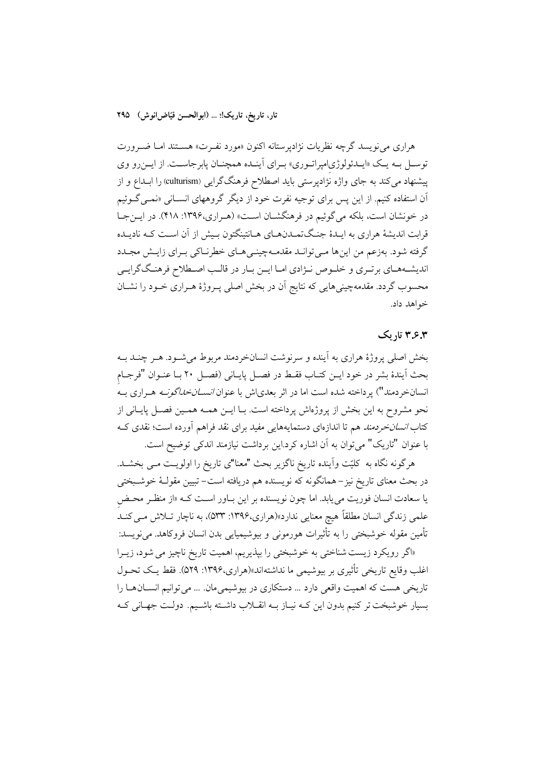هراري مي نويسد گرچه نظريات نژادپرستانه اكنون «مورد نفـرت» هسـتند امـا ضـرورت توسـل بـه يـک «ايـمدئولوژي|ميراتـوري» بـراي اَينـمد همچنـان يابرجاسـت. از ايـنرو وي پیشنهاد می کند به جای واژه نژادپرستی باید اصطلاح فرهنگگرایی (culturism) را ابــداع و از آن استفاده کنیم. از این پس برای توجیه نفرت خود از دیگر گروههای انسـانی «نمـی *گـو*ئیم در خونشان است، بلکه می گوئیم در فرهنگشـان اسـت» (هـراري،۱۳۹۶: ۴۱۸). در ايـنجـا قرابت اندیشهٔ هراری به ایـدهٔ جنـگتمـدنهـای هـانتینگتون بـیش از آن اسـت کـه نادیـده گرفته شود. بهزعم من اینها مـی توانـد مقدمـهچینـیهـای خطرنـاکی بـرای زایـش مجـدد اندیشههای برتـری و خلـوص نـژادی امـا ایـن بـار در قالـب اصـطلاح فرهنـگگرایـی محسوب گردد. مقدمهچینیهایی که نتایج آن در بخش اصلی پـروژهٔ هـراری خـود را نشــان خواهد داد.

### ۳٫۶٫۳ تاریک

بخش اصلي پروژهٔ هراري به آينده و سرنوشت انسانخردمند مربوط مي شـود. هـر چنـد بـه بحث أيندهٔ بشر در خود ايـن كتـاب فقـط در فصـل پايـاني (فصـل ٢٠ بـا عنـوان "فرجـام انسانخردمند") پرداخته شده است اما در اثر بعدیاش با عنوان *انســانخداگونــه* هــراری بــه نحو مشروح به این بخش از پروژهاش پرداخته است. بـا ایــن همــه همــین فصــل پایــانی از کتاب *انسانخردمند هم* تا اندازهای دستمایههایی مفید برای نقد فراهم آورده است؛ نقدی کـه با عنوان "تاريک" مي توان به آن اشاره کرد.اين برداشت نيازمند اندکي توضيح است.

هرگونه نگاه به کلیّت واّینده تاریخ ناگزیر بحث "معنا"ی تاریخ را اولویـت مـی بخشــد. در بحث معنای تاریخ نیز – همانگونه که نویسنده هم دریافته است– تبیین مقولـهٔ خوشـبختی یا سعادت انسان فوریت می یابد. اما چون نویسنده بر این بـاور اسـت کـه «از منظـر محـض علمی زندگی انسان مطلقاً هیچ معنایی ندارد»(هراری،۱۳۹۶: ۵۳۳)، به ناچار تــلاش مــی کنــد تأمین مقوله خوشبختی را به تأثیرات هورمونی و بیوشیمیایی بدن انسان فروکاهد. می نویسد:

«اگر رویکرد زیست شناختی به خوشبختی را بپذیریم، اهمیت تاریخ ناچیز می شود، زیـرا اغلب وقايع تاريخي تأثيري بر بيوشيمي ما نداشتهاند»(هراري،١٣٩۶: ٥٢٩). فقط يك تحـول تاریخی هست که اهمیت واقعی دارد ... دستکاری در بیوشیمیمان. ... می توانیم انســانهــا را بسیار خوشبخت تر کنیم بدون این کـه نیـاز بـه انقـلاب داشـته باشـیم. دولـت جهـانی کـه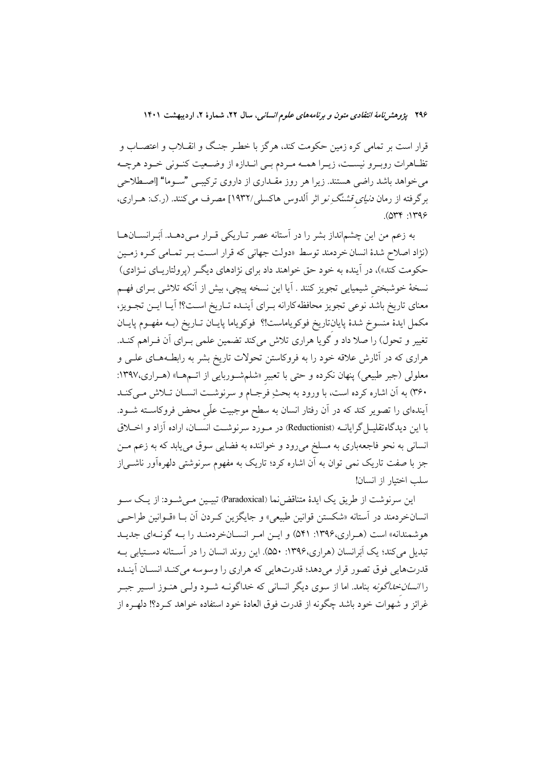قرار است بر تمامی کره زمین حکومت کند، هرگز با خطـر جنـگ و انقــلاب و اعتصــاب و تظـاهرات روبـرو نيسـت، زيـرا همـه مـردم بـي انـدازه از وضـعيت كنـوني خـود هرچـه می خواهد باشد راضی هستند. زیرا هر روز مقـداری از داروی ترکیبـی "سـوما" [اصـطلاحی برگرفته از رمان *دنیای قشنگ نو* اثر آلدوس هاکسلی/۱۹۳۲] مصرف می کنند. (ر.ک: هـراری،  $.044:149$ 

به زعم من این چشمانداز بشر را در آستانه عصر تـاریکی قـرار مـیcهـد. اَبَـرانســانهــا (نژاد اصلاح شدهٔ انسان خردمند توسط «دولت جهانی که قرار است بـر تمـامی کـره زمـین حکومت کند»)، در آینده به خود حق خواهند داد برای نژادهای دیگـر (پرولتاریـای نــژادی) نسخهٔ خوشبختی شیمیایی تجویز کنند . آیا این نسخه پیچی، بیش از آنکه تلاشی بـرای فهـم معناي تاريخ باشد نوعي تجويز محافظه كارانه بـراي أينـده تـاريخ اسـت؟! أيـا ايـن تجـويز، مكمل ايدهٔ منسوخ شدهٔ پايانتاريخ فوكوياماست!؟ فوكوياما پايـان تـاريخ (بــه مفهـوم پايــان تغییر و تحول) را صلا داد و گویا هراری تلاش میکند تضمین علمی بـرای آن فـراهم کنـد. هراری که در آثارش علاقه خود را به فروکاستن تحولات تاریخ بشر به رابطـههـای علــی و معلولی (جبر طبیعی) پنهان نکرده و حتی با تعبیر «شلمشوربایی از اتــمهــا» (هــراری،۱۳۹۷: ۳۶۰) به آن اشاره کرده است، با ورود به بحثِ فرجـام و سرنوشــت انســان تــلاش مــیکنــد آیندهای را تصویر کند که در آن رفتار انسان به سطح موجبیت علّمی محض فروکاســته شــود. با این دیدگاهتقلیــل گرایانــه (Reductionist) در مــورد سرنوشــت انسَـــان، اراده آزاد و اخـــلاق انسانی به نحو فاجعهباری به مسلخ میرود و خواننده به فضایی سوق مییابد که به زعم مـن جز با صفت تاریک نمی توان به آن اشاره کرد؛ تاریک به مفهوم سرنوشتی دلهرهآور ناشــی|ز سلب اختبار از انسان!

این سرنوشت از طریق یک ایدهٔ متناقضنما (Paradoxical) تبیـین مـی شـود: از یـک سـو انسانخردمند در آستانه «شکستن قوانین طبیعی» و جایگزین کـردن آن بـا «قـوانین طراحـی هوشمندانه» است (هـراري،۱۳۹۶: ۵۴۱) و ايـن امـر انســانخردمنـد را بــه گونــهاي جديـد تبدیل میکند؛ یک اَبَرانسان (هراری،۱۳۹۶: ۵۵۰). این روند انسان را در آستانه دستیابی بـه قدرتهايي فوق تصور قرار مي دهد؛ قدرتهايي كه هراري را وسوسه مي كنـد انســان آينـده را *انسان خداگونه* بنامد. اما از سوی دیگر انسانی که خداگونــه شــود ولــی هنــوز اســیر جبــر غرائز و شهوات خود باشد چگونه از قدرت فوق العادهٔ خود استفاده خواهد کـرد؟! دلهـره از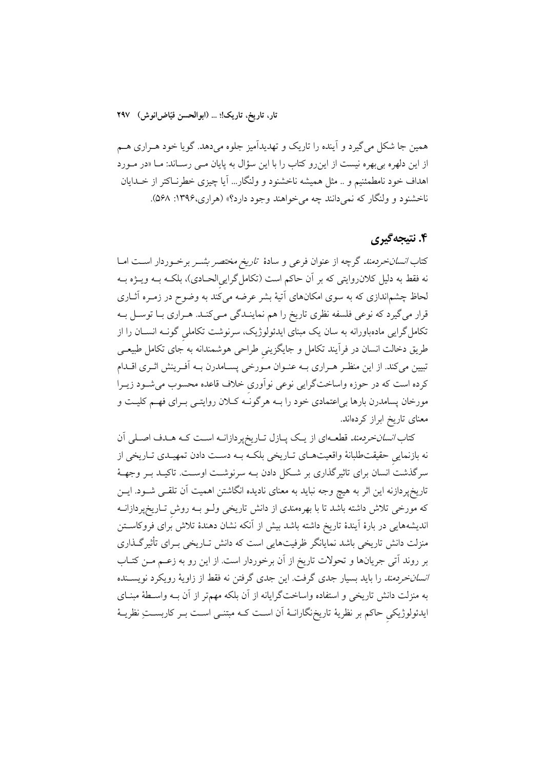همین جا شکل میگیرد و آینده را تاریک و تهدیدآمیز جلوه میدهد. گویا خود هـراری هـم از این دلهره بی بهره نیست از این رو کتاب را با این سؤال به پایان مــی رســاند: مــا «در مــورد اهداف خود نامطمئنیم و .. مثل همیشه ناخشنود و ولنگار... آیا چیزی خطرنـاکتر از خــدایان ناخشنود و ولنگار که نمی دانند چه می خواهند وجود دارد؟» (هراری،۱۳۹۶: ۵۶۸).

### ۴. نتيجه گيري

کتاب *انسانخردمند* گرچه از عنوان فرعی و سادهٔ ت*اریخ مختصر بشــر برخــ*وردار اســت امــا نه فقط به دلیل کلان٫وایتی که بر آن حاکم است (تکامل گراییالحـادی)، بلکـه بــه ویــژه بــه لحاظ چشم|ندازی که به سوی امکانهای آتیهٔ بشر عرضه میکند به وضوح در زمـره آثــاری قرار می گیرد که نوعی فلسفه نظری تاریخ را هم نماینـدگی مـیکنـد. هـراری بـا توسـل بـه تکامل گرایی مادهباورانه به سان یک مبنای ایدئولوژیک، سرنوشت تکاملی گونــه انســان را از طریق دخالت انسان در فرآیند تکامل و جایگزینی طراحی هوشمندانه به جای تکامل طبیعـی تبیین میکند. از این منظـر هـراری بــه عنــوان مــورخی پســامدرن بــه اَفــرینش اثــری اقــدام كرده است كه در حوزه واساختگرايي نوعي نواّوري خلاف قاعده محسوب مي شـود زيـرا مورخان پسامدرن بارها بی|عتمادی خود را بــه هرگونـَـه کــلان روایتــی بــرای فهــم کلیــت و معنای تاریخ ابراز کردهاند.

کتاب *انسانخردمند* قطعـهای از یـک پـازل تـاریخپردازانــه اسـت کــه هــدف اصــلی آن نه بازنمایی حقیقتطلبانهٔ واقعیتهـای تـاریخی بلکـه بـه دسـت دادن تمهیـدی تـاریخی از سرگذشت انسان برای تاثیرگذاری بر شکل دادن بـه سرنوشـت اوسـت. تاکیـد بـر وجهـهٔ تاریخپردازنه این اثر به هیچ وجه نباید به معنای نادیده انگاشتن اهمیت آن تلقـی شــود. ایــن که مورخی تلاش داشته باشد تا با بهرهمندی از دانش تاریخی ولــو بــه روش ِتــاریخپردازانــه اندیشههایی در بارهٔ اَیندهٔ تاریخ داشته باشد بیش از اَنکه نشان دهندهٔ تلاش برای فروکاسـتن منزلت دانش تاریخی باشد نمایانگر ظرفیتهایی است که دانش تـاریخی بـرای تأثیرگـذاری بر روند اتبی جریانها و تحولات تاریخ از آن برخوردار است. از این رو به زعـم مـن کتـاب *انسانخردمند را باید بسیار جدی گرفت. این جدی گرفتن نه فقط از زاویهٔ رویکرد نویس*ـنده به منزلت دانش تاریخی و استفاده واساختگرایانه از آن بلکه مهمتر از آن بــه واسـطهٔ مبنــای ایدئولوژیکی حاکم بر نظریهٔ تاریخ;گارانـهٔ آن اسـت کـه مبتنـی اسـت بـر کاربسـتِ نظریــهٔ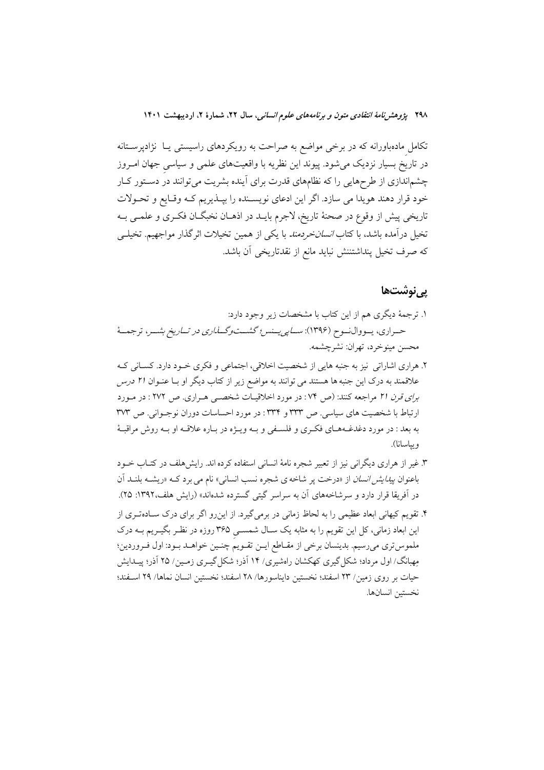تکامل مادهباورانه که در برخی مواضع به صراحت به رویکردهای راسیستی یـا نژادپرسـتانه در تاریخ بسیار نزدیک می شود. پیوند این نظریه با واقعیتهای علمی و سیاسی جهان امـروز چشماندازی از طرحهایی را که نظامهای قدرت برای آینده بشریت میتوانند در دستور کار خود قرار دهند هويدا مي سازد. اگر اين ادعاى نويسـنده را بيـذيريم كـه وقـايع و تحـولات تاریخی پیش از وقوع در صحنهٔ تاریخ، لاجرم بایـد در اذهــان نخبگــان فکــری و علمــی بــه تخیل درآمده باشد، با کتا*ب انسان خردمند* با یکی از همین تخیلات اثرگذار مواجهیم. تخیل<sub>سی</sub> كه صرف تخيل پنداشتننش نبايد مانع از نقدتاريخي آن باشد.

### <u>یے نوشتھا</u>

- ۱. ترجمهٔ دیگری هم از این کتاب با مشخصات زیر وجود دارد: حـراري، يــووالنــوح (١٣٩۶): *ســاپي يــنس؛ گشـــتوگـــناري در تــاريخ بشــر*، ترجمــهٔ محسن مينو خرد، تهران: نشر چشمه.
- ۲. هراري اشاراتي نيز به جنبه هايي از شخصيت اخلاقي، اجتماعي و فكرى خـود دارد. كســاني كــه علاقمند به درک این جنبه ها هستند می توانند به مواضع زیر از کتاب دیگر او بـا عنــوان ۲۱ درس برای قرن ٢١ مراجعه كنند: (ص ٧٤: در مورد اخلاقيـات شخصـي هـراري. ص ٢٧٢ : در مـورد ارتباط با شخصیت های سیاسی. ص ۳۳۳ و ۳۳۴: در مورد احساسات دوران نوجـوانی. ص ۳۷۳ به بعد : در مورد دغدغـههـاي فكـرى و فلسـفى و بـه ويـژه در بـاره علاقـه او بـه روش مراقبـهٔ ويياسانا).
- ۳. غیر از هراری دیگرانی نیز از تعبیر شجره نامهٔ انسانی استفاده کرده اند. رایشهلف در کتـاب خــود باعنوان *پیدایش انسان* از «درخت پر شاخه ی شجره نسب انسانی» نام می برد کــه «ریشــه بلنــد آن در آفریقا قرار دارد و سرشاخههای آن به سراسر گیتی گسترده شدهاند» (رایش هلف،۱۳۹۲: ۲۵).
- ۴. تقویم کیهانی ابعاد عظیمی را به لحاظ زمانی در برمی گیرد. از این رو اگر برای درک سـادهتـری از این ابعاد زمانی، کل این تقویم را به مثابه یک سـال شمســی ۳۶۵ روزه در نظـر بگیــریم بــه درک ملموس تري مي رسيم. بدينسان برخي از مقــاطع ايــن تقــويـم چنــين خواهــد بــود: اول فــروردين؛ مِهبانگ/ اول مرداد؛ شکل گیری کهکشان راهشیری/ ۱۴ آذر؛ شکل گیـری زمـین/ ۲۵ آذر؛ پیـدایش حيات بر روى زمين/ ٢٣ اسفند؛ نخستين دايناسورها/ ٢٨ اسفند؛ نخستين انسان نماها/ ٢٩ اسـفند؛ نخستين انسانها.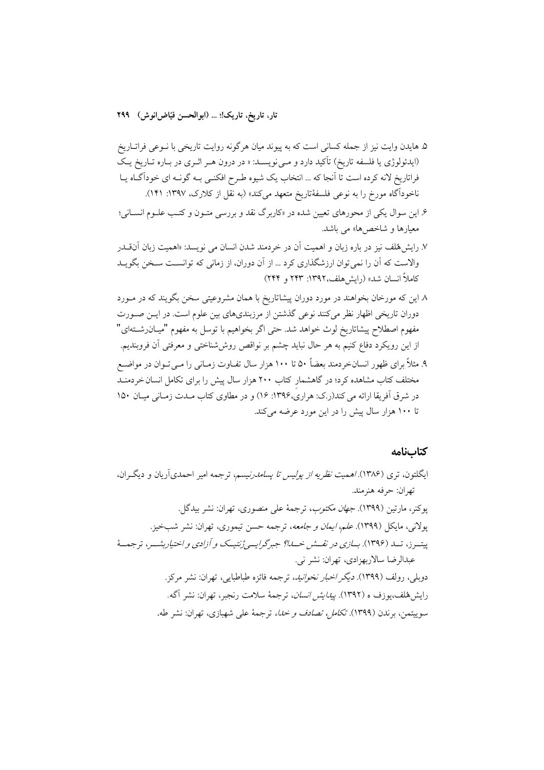۵. هایدن وایت نیز از جمله کسانی است که به پیوند میان هرگونه روایت تاریخی با نــوعی فراتــاریخ (ایدئولوژی یا فلسفه تاریخ) تأکید دارد و مـی نویســد: « در درون هـر اثــری در بــاره تــاریخ یــک فراتاریخ لانه کرده است تا آنجا که … انتخاب یک شیوه طـرح افکنـی بـه گونـه ای خوداگـاه یـا ناخوداًگاه مورخ را به نوعی فلسفهٔتاریخ متعهد میکند» (به نقل از کلارک، ۱۳۹۷: ۱۴۱).

- ۶. این سوال یکی از محورهای تعیین شده در «کاربرگ نقد و بررسی متـون و کتـب علـوم انســانی؛ معیارها و شاخص ها» می باشد.
- ۷. رایش هُلف نیز در باره زبان و اهمیت آن در خردمند شدن انسان می نویسد: «اهمیت زبان آن قـــدر والاست که اَن را نمیتوان ارزشگذاری کرد … از اَن دوران، از زمانی که توانسـت سـخن بگویــد كاملاً انسان شد» (رايش هلف،١٣٩٢: ٢۴٣ و ٢٤٢)
- ۸ این که مورخان بخواهند در مورد دوران پیشاتاریخ با همان مشروعیتی سخن بگویند که در مـورد دوران تاریخی اظهار نظر میکنند نوعی گذشتن از مرزبندیهای بین علوم است. در ایـن صـورت مفهوم اصطلاح پیشاتاریخ لوث خواهد شد. حتی اگر بخواهیم با توسل به مفهوم "میـان٫شــتهای" از این رویکرد دفاع کنیم به هر حال نباید چشم بر نواقص روششناختی و معرفتی آن فروبندیم.
- ۹. مثلاً برای ظهور انسانخردمند بعضاً ۵۰ تا ۱۰۰ هزار سال تفـاوت زمـانی را مـی تـوان در مواضـع مختلف کتاب مشاهده کرد؛ در گاهشمار کتاب ۲۰۰ هزار سال پیش را برای تکامل انسان خردمنـد در شرق آفریقا ارائه می کند(ر.ک: هراری،۱۳۹۶: ۱۶) و در مطاوی کتاب مـدت زمـانی میـان ۱۵۰ تا ۱۰۰ هزار سال پیش را در این مورد عرضه میکند.

#### كتابنامه

ایگلتون، تری (۱۳۸۶)./همیت *نظریه از پولیس تا پسامدرنیسم*، ترجمه امیر احمدیآریان و دیگـران، تهران: حرفه هنرمند. يوكنر، مارتين (١٣٩٩). *جهان مكتوب*، ترجمة على منصورى، تهران: نشر بيدگل. یولانی، مایکل (۱۳۹۹). *علم، ایمان و جامعه*، ترجمه حسن تیموری، تهران: نشر شبخیز. پیتسرز، تــد (۱۳۹۶). *بسازی در نقــش خــدا؟ جبرگرایسی ژنتیــک و آزادی و اختیاربشــر*، ترجمــهٔ عبدالرضا سالاربهزادي، تهران: نشر ني. دوبلي، رولف (١٣٩٩). *ديگر اخبار نخوانيد*، ترجمه فائزه طباطبايي، تهران: نشر مركز. رايش&لف،يوزف ه (١٣٩٢). *ييدايش انسان*، ترجمهٔ سلامت رنجبر، تهران: نشر آگه. سوييتمن، برندن (١٣٩٩). *تكامل، تصادف و خدا،* ترجمهٔ على شهبازى، تهران: نشر طه.